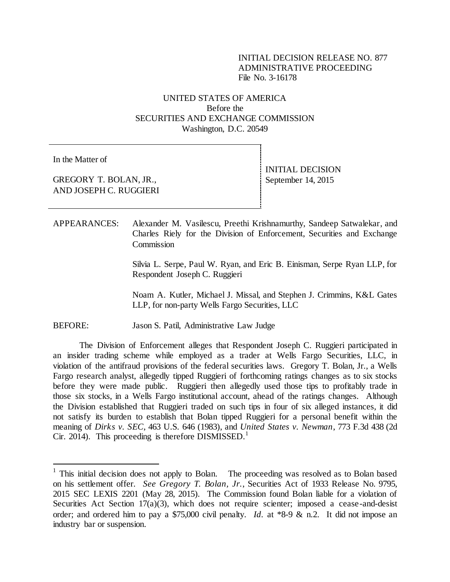## INITIAL DECISION RELEASE NO. 877 ADMINISTRATIVE PROCEEDING File No. 3-16178

# UNITED STATES OF AMERICA Before the SECURITIES AND EXCHANGE COMMISSION Washington, D.C. 20549

In the Matter of

l

GREGORY T. BOLAN, JR., AND JOSEPH C. RUGGIERI INITIAL DECISION September 14, 2015

APPEARANCES: Alexander M. Vasilescu, Preethi Krishnamurthy, Sandeep Satwalekar, and Charles Riely for the Division of Enforcement, Securities and Exchange **Commission** 

> Silvia L. Serpe, Paul W. Ryan, and Eric B. Einisman, Serpe Ryan LLP, for Respondent Joseph C. Ruggieri

> Noam A. Kutler, Michael J. Missal, and Stephen J. Crimmins, K&L Gates LLP, for non-party Wells Fargo Securities, LLC

BEFORE: Jason S. Patil, Administrative Law Judge

The Division of Enforcement alleges that Respondent Joseph C. Ruggieri participated in an insider trading scheme while employed as a trader at Wells Fargo Securities, LLC, in violation of the antifraud provisions of the federal securities laws. Gregory T. Bolan, Jr., a Wells Fargo research analyst, allegedly tipped Ruggieri of forthcoming ratings changes as to six stocks before they were made public. Ruggieri then allegedly used those tips to profitably trade in those six stocks, in a Wells Fargo institutional account, ahead of the ratings changes. Although the Division established that Ruggieri traded on such tips in four of six alleged instances, it did not satisfy its burden to establish that Bolan tipped Ruggieri for a personal benefit within the meaning of *Dirks v. SEC*, 463 U.S. 646 (1983), and *United States v. Newman*, 773 F.3d 438 (2d Cir. 2014). This proceeding is therefore  $DISMISSED.$ <sup>1</sup>

<sup>&</sup>lt;sup>1</sup> This initial decision does not apply to Bolan. The proceeding was resolved as to Bolan based on his settlement offer. *See Gregory T. Bolan, Jr.*, Securities Act of 1933 Release No. 9795, 2015 SEC LEXIS 2201 (May 28, 2015). The Commission found Bolan liable for a violation of Securities Act Section 17(a)(3), which does not require scienter; imposed a cease-and-desist order; and ordered him to pay a \$75,000 civil penalty. *Id.* at \*8-9 & n.2. It did not impose an industry bar or suspension.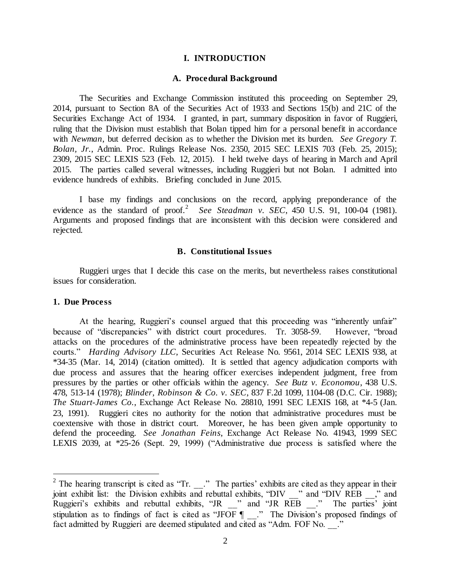## **I. INTRODUCTION**

#### **A. Procedural Background**

The Securities and Exchange Commission instituted this proceeding on September 29, 2014, pursuant to Section 8A of the Securities Act of 1933 and Sections 15(b) and 21C of the Securities Exchange Act of 1934. I granted, in part, summary disposition in favor of Ruggieri, ruling that the Division must establish that Bolan tipped him for a personal benefit in accordance with *Newman*, but deferred decision as to whether the Division met its burden. *See Gregory T. Bolan, Jr.*, Admin. Proc. Rulings Release Nos. 2350, 2015 SEC LEXIS 703 (Feb. 25, 2015); 2309, 2015 SEC LEXIS 523 (Feb. 12, 2015). I held twelve days of hearing in March and April 2015. The parties called several witnesses, including Ruggieri but not Bolan. I admitted into evidence hundreds of exhibits. Briefing concluded in June 2015.

I base my findings and conclusions on the record, applying preponderance of the evidence as the standard of proof.<sup>2</sup> See Steadman v. SEC, 450 U.S. 91, 100-04 (1981). Arguments and proposed findings that are inconsistent with this decision were considered and rejected.

## **B. Constitutional Issues**

Ruggieri urges that I decide this case on the merits, but nevertheless raises constitutional issues for consideration.

#### **1. Due Process**

At the hearing, Ruggieri's counsel argued that this proceeding was "inherently unfair" because of "discrepancies" with district court procedures. Tr. 3058-59. However, "broad attacks on the procedures of the administrative process have been repeatedly rejected by the courts." *Harding Advisory LLC*, Securities Act Release No. 9561, 2014 SEC LEXIS 938, at \*34-35 (Mar. 14, 2014) (citation omitted). It is settled that agency adjudication comports with due process and assures that the hearing officer exercises independent judgment, free from pressures by the parties or other officials within the agency. *See Butz v. Economou*, 438 U.S. 478, 513-14 (1978); *Blinder, Robinson & Co. v. SEC*, 837 F.2d 1099, 1104-08 (D.C. Cir. 1988); *The Stuart-James Co.*, Exchange Act Release No. 28810, 1991 SEC LEXIS 168, at \*4-5 (Jan. 23, 1991). Ruggieri cites no authority for the notion that administrative procedures must be coextensive with those in district court. Moreover, he has been given ample opportunity to defend the proceeding. *See Jonathan Feins*, Exchange Act Release No. 41943, 1999 SEC LEXIS 2039, at \*25-26 (Sept. 29, 1999) ("Administrative due process is satisfied where the

<sup>&</sup>lt;sup>2</sup> The hearing transcript is cited as "Tr. \_\_." The parties' exhibits are cited as they appear in their joint exhibit list: the Division exhibits and rebuttal exhibits, "DIV \_\_" and "DIV REB \_\_," and Ruggieri's exhibits and rebuttal exhibits, "JR  $\frac{1}{\sqrt{2}}$ " and "JR REB  $\frac{1}{\sqrt{2}}$ " The parties' joint stipulation as to findings of fact is cited as "JFOF  $\P$  ." The Division's proposed findings of fact admitted by Ruggieri are deemed stipulated and cited as "Adm. FOF No. ..."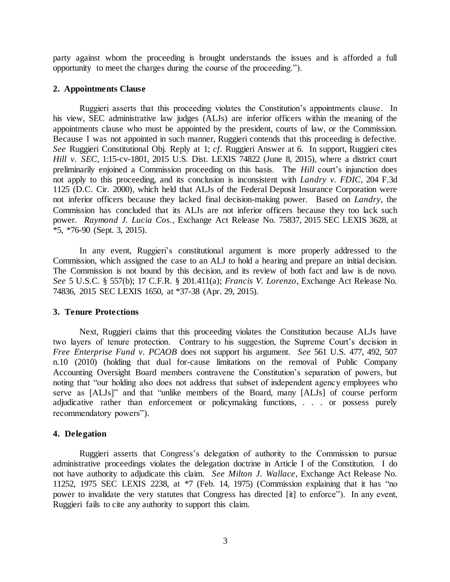party against whom the proceeding is brought understands the issues and is afforded a full opportunity to meet the charges during the course of the proceeding.").

#### **2. Appointments Clause**

Ruggieri asserts that this proceeding violates the Constitution's appointments clause. In his view, SEC administrative law judges (ALJs) are inferior officers within the meaning of the appointments clause who must be appointed by the president, courts of law, or the Commission. Because I was not appointed in such manner, Ruggieri contends that this proceeding is defective. *See* Ruggieri Constitutional Obj. Reply at 1; *cf.* Ruggieri Answer at 6. In support, Ruggieri cites *Hill v. SEC*, 1:15-cv-1801, 2015 U.S. Dist. LEXIS 74822 (June 8, 2015), where a district court preliminarily enjoined a Commission proceeding on this basis. The *Hill* court's injunction does not apply to this proceeding, and its conclusion is inconsistent with *Landry v. FDIC*, 204 F.3d 1125 (D.C. Cir. 2000), which held that ALJs of the Federal Deposit Insurance Corporation were not inferior officers because they lacked final decision-making power. Based on *Landry*, the Commission has concluded that its ALJs are not inferior officers because they too lack such power. *Raymond J. Lucia Cos.*, Exchange Act Release No. 75837, 2015 SEC LEXIS 3628, at \*5, \*76-90 (Sept. 3, 2015).

In any event, Ruggieri's constitutional argument is more properly addressed to the Commission, which assigned the case to an ALJ to hold a hearing and prepare an initial decision. The Commission is not bound by this decision, and its review of both fact and law is de novo. *See* 5 U.S.C. § 557(b); 17 C.F.R. § 201.411(a); *Francis V. Lorenzo*, Exchange Act Release No. 74836, 2015 SEC LEXIS 1650, at \*37-38 (Apr. 29, 2015).

#### **3. Tenure Protections**

Next, Ruggieri claims that this proceeding violates the Constitution because ALJs have two layers of tenure protection. Contrary to his suggestion, the Supreme Court's decision in *Free Enterprise Fund v. PCAOB* does not support his argument. *See* 561 U.S. 477, 492, 507 n.10 (2010) (holding that dual for-cause limitations on the removal of Public Company Accounting Oversight Board members contravene the Constitution's separation of powers, but noting that "our holding also does not address that subset of independent agency employees who serve as [ALJs]" and that "unlike members of the Board, many [ALJs] of course perform adjudicative rather than enforcement or policymaking functions, . . . or possess purely recommendatory powers").

#### **4. Delegation**

Ruggieri asserts that Congress's delegation of authority to the Commission to pursue administrative proceedings violates the delegation doctrine in Article I of the Constitution. I do not have authority to adjudicate this claim. *See Milton J. Wallace*, Exchange Act Release No. 11252, 1975 SEC LEXIS 2238, at \*7 (Feb. 14, 1975) (Commission explaining that it has "no power to invalidate the very statutes that Congress has directed [it] to enforce"). In any event, Ruggieri fails to cite any authority to support this claim.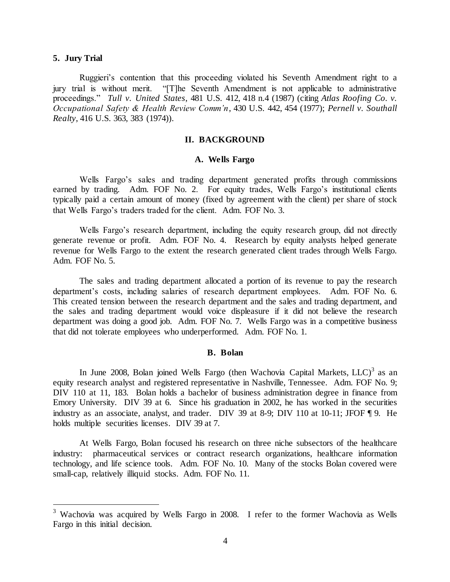#### **5. Jury Trial**

l

Ruggieri's contention that this proceeding violated his Seventh Amendment right to a jury trial is without merit. "[T]he Seventh Amendment is not applicable to administrative proceedings." *Tull v. United States*, 481 U.S. 412, 418 n.4 (1987) (citing *Atlas Roofing Co. v. Occupational Safety & Health Review Comm'n*, 430 U.S. 442, 454 (1977); *Pernell v. Southall Realty*, 416 U.S. 363, 383 (1974)).

## **II. BACKGROUND**

#### **A. Wells Fargo**

Wells Fargo's sales and trading department generated profits through commissions earned by trading. Adm. FOF No. 2. For equity trades, Wells Fargo's institutional clients typically paid a certain amount of money (fixed by agreement with the client) per share of stock that Wells Fargo's traders traded for the client. Adm. FOF No. 3.

Wells Fargo's research department, including the equity research group, did not directly generate revenue or profit. Adm. FOF No. 4. Research by equity analysts helped generate revenue for Wells Fargo to the extent the research generated client trades through Wells Fargo. Adm. FOF No. 5.

The sales and trading department allocated a portion of its revenue to pay the research department's costs, including salaries of research department employees. Adm. FOF No. 6. This created tension between the research department and the sales and trading department, and the sales and trading department would voice displeasure if it did not believe the research department was doing a good job. Adm. FOF No. 7. Wells Fargo was in a competitive business that did not tolerate employees who underperformed. Adm. FOF No. 1.

## **B. Bolan**

In June 2008, Bolan joined Wells Fargo (then Wachovia Capital Markets, LLC)<sup>3</sup> as an equity research analyst and registered representative in Nashville, Tennessee. Adm. FOF No. 9; DIV 110 at 11, 183. Bolan holds a bachelor of business administration degree in finance from Emory University. DIV 39 at 6. Since his graduation in 2002, he has worked in the securities industry as an associate, analyst, and trader. DIV 39 at 8-9; DIV 110 at 10-11; JFOF ¶ 9. He holds multiple securities licenses. DIV 39 at 7.

At Wells Fargo, Bolan focused his research on three niche subsectors of the healthcare industry: pharmaceutical services or contract research organizations, healthcare information technology, and life science tools. Adm. FOF No. 10. Many of the stocks Bolan covered were small-cap, relatively illiquid stocks. Adm. FOF No. 11.

<sup>3</sup> Wachovia was acquired by Wells Fargo in 2008. I refer to the former Wachovia as Wells Fargo in this initial decision.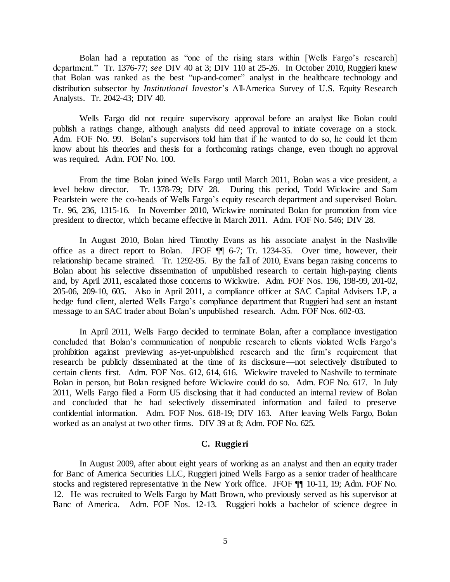Bolan had a reputation as "one of the rising stars within [Wells Fargo's research] department." Tr. 1376-77; *see* DIV 40 at 3; DIV 110 at 25-26. In October 2010, Ruggieri knew that Bolan was ranked as the best "up-and-comer" analyst in the healthcare technology and distribution subsector by *Institutional Investor*'s All-America Survey of U.S. Equity Research Analysts. Tr. 2042-43; DIV 40.

Wells Fargo did not require supervisory approval before an analyst like Bolan could publish a ratings change, although analysts did need approval to initiate coverage on a stock. Adm. FOF No. 99. Bolan's supervisors told him that if he wanted to do so, he could let them know about his theories and thesis for a forthcoming ratings change, even though no approval was required. Adm. FOF No. 100.

From the time Bolan joined Wells Fargo until March 2011, Bolan was a vice president, a level below director. Tr. 1378-79; DIV 28. During this period, Todd Wickwire and Sam Pearlstein were the co-heads of Wells Fargo's equity research department and supervised Bolan. Tr. 96, 236, 1315-16. In November 2010, Wickwire nominated Bolan for promotion from vice president to director, which became effective in March 2011. Adm. FOF No. 546; DIV 28.

In August 2010, Bolan hired Timothy Evans as his associate analyst in the Nashville office as a direct report to Bolan. JFOF ¶¶ 6-7; Tr. 1234-35. Over time, however, their relationship became strained. Tr. 1292-95. By the fall of 2010, Evans began raising concerns to Bolan about his selective dissemination of unpublished research to certain high-paying clients and, by April 2011, escalated those concerns to Wickwire. Adm. FOF Nos. 196, 198-99, 201-02, 205-06, 209-10, 605. Also in April 2011, a compliance officer at SAC Capital Advisers LP, a hedge fund client, alerted Wells Fargo's compliance department that Ruggieri had sent an instant message to an SAC trader about Bolan's unpublished research. Adm. FOF Nos. 602-03.

In April 2011, Wells Fargo decided to terminate Bolan, after a compliance investigation concluded that Bolan's communication of nonpublic research to clients violated Wells Fargo's prohibition against previewing as-yet-unpublished research and the firm's requirement that research be publicly disseminated at the time of its disclosure—not selectively distributed to certain clients first. Adm. FOF Nos. 612, 614, 616. Wickwire traveled to Nashville to terminate Bolan in person, but Bolan resigned before Wickwire could do so. Adm. FOF No. 617. In July 2011, Wells Fargo filed a Form U5 disclosing that it had conducted an internal review of Bolan and concluded that he had selectively disseminated information and failed to preserve confidential information. Adm. FOF Nos. 618-19; DIV 163. After leaving Wells Fargo, Bolan worked as an analyst at two other firms. DIV 39 at 8; Adm. FOF No. 625.

# **C. Ruggieri**

In August 2009, after about eight years of working as an analyst and then an equity trader for Banc of America Securities LLC, Ruggieri joined Wells Fargo as a senior trader of healthcare stocks and registered representative in the New York office. JFOF ¶¶ 10-11, 19; Adm. FOF No. 12. He was recruited to Wells Fargo by Matt Brown, who previously served as his supervisor at Banc of America. Adm. FOF Nos. 12-13. Ruggieri holds a bachelor of science degree in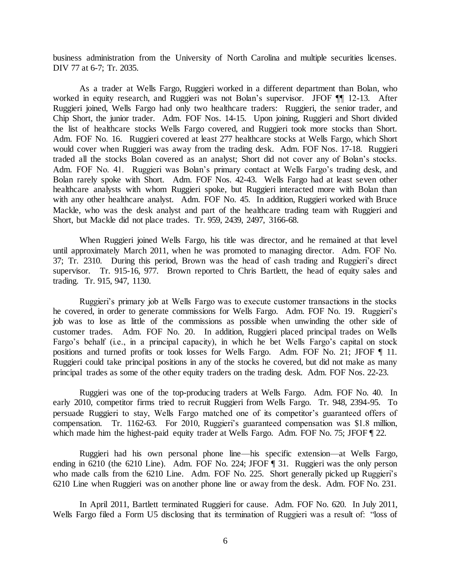business administration from the University of North Carolina and multiple securities licenses. DIV 77 at 6-7; Tr. 2035.

As a trader at Wells Fargo, Ruggieri worked in a different department than Bolan, who worked in equity research, and Ruggieri was not Bolan's supervisor. JFOF  $\P$  12-13. After Ruggieri joined, Wells Fargo had only two healthcare traders: Ruggieri, the senior trader, and Chip Short, the junior trader. Adm. FOF Nos. 14-15. Upon joining, Ruggieri and Short divided the list of healthcare stocks Wells Fargo covered, and Ruggieri took more stocks than Short. Adm. FOF No. 16. Ruggieri covered at least 277 healthcare stocks at Wells Fargo, which Short would cover when Ruggieri was away from the trading desk. Adm. FOF Nos. 17-18. Ruggieri traded all the stocks Bolan covered as an analyst; Short did not cover any of Bolan's stocks. Adm. FOF No. 41. Ruggieri was Bolan's primary contact at Wells Fargo's trading desk, and Bolan rarely spoke with Short. Adm. FOF Nos. 42-43. Wells Fargo had at least seven other healthcare analysts with whom Ruggieri spoke, but Ruggieri interacted more with Bolan than with any other healthcare analyst. Adm. FOF No. 45. In addition, Ruggieri worked with Bruce Mackle, who was the desk analyst and part of the healthcare trading team with Ruggieri and Short, but Mackle did not place trades. Tr. 959, 2439, 2497, 3166-68.

When Ruggieri joined Wells Fargo, his title was director, and he remained at that level until approximately March 2011, when he was promoted to managing director. Adm. FOF No. 37; Tr. 2310. During this period, Brown was the head of cash trading and Ruggieri's direct supervisor. Tr. 915-16, 977. Brown reported to Chris Bartlett, the head of equity sales and trading. Tr. 915, 947, 1130.

Ruggieri's primary job at Wells Fargo was to execute customer transactions in the stocks he covered, in order to generate commissions for Wells Fargo. Adm. FOF No. 19. Ruggieri's job was to lose as little of the commissions as possible when unwinding the other side of customer trades. Adm. FOF No. 20. In addition, Ruggieri placed principal trades on Wells Fargo's behalf (i.e., in a principal capacity), in which he bet Wells Fargo's capital on stock positions and turned profits or took losses for Wells Fargo. Adm. FOF No. 21; JFOF ¶ 11. Ruggieri could take principal positions in any of the stocks he covered, but did not make as many principal trades as some of the other equity traders on the trading desk. Adm. FOF Nos. 22-23.

Ruggieri was one of the top-producing traders at Wells Fargo. Adm. FOF No. 40. In early 2010, competitor firms tried to recruit Ruggieri from Wells Fargo. Tr. 948, 2394-95. To persuade Ruggieri to stay, Wells Fargo matched one of its competitor's guaranteed offers of compensation. Tr. 1162-63. For 2010, Ruggieri's guaranteed compensation was \$1.8 million, which made him the highest-paid equity trader at Wells Fargo. Adm. FOF No. 75; JFOF  $\P$  22.

Ruggieri had his own personal phone line—his specific extension—at Wells Fargo, ending in 6210 (the 6210 Line). Adm. FOF No. 224; JFOF ¶ 31. Ruggieri was the only person who made calls from the 6210 Line. Adm. FOF No. 225. Short generally picked up Ruggieri's 6210 Line when Ruggieri was on another phone line or away from the desk. Adm. FOF No. 231.

In April 2011, Bartlett terminated Ruggieri for cause. Adm. FOF No. 620. In July 2011, Wells Fargo filed a Form U5 disclosing that its termination of Ruggieri was a result of: "loss of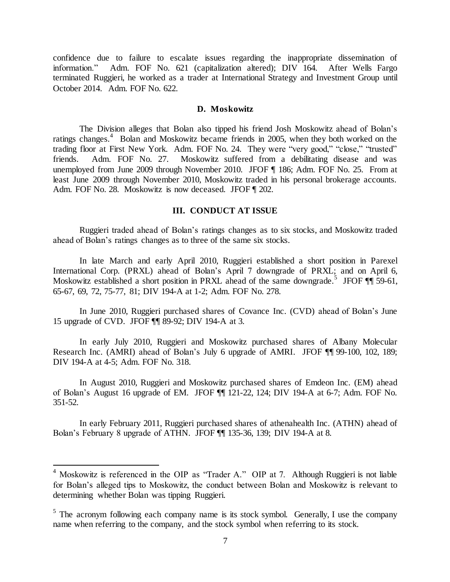confidence due to failure to escalate issues regarding the inappropriate dissemination of information." Adm. FOF No. 621 (capitalization altered); DIV 164. After Wells Fargo terminated Ruggieri, he worked as a trader at International Strategy and Investment Group until October 2014. Adm. FOF No. 622.

#### **D. Moskowitz**

The Division alleges that Bolan also tipped his friend Josh Moskowitz ahead of Bolan's ratings changes.<sup>4</sup> Bolan and Moskowitz became friends in 2005, when they both worked on the trading floor at First New York. Adm. FOF No. 24. They were "very good," "close," "trusted" friends. Adm. FOF No. 27. Moskowitz suffered from a debilitating disease and was unemployed from June 2009 through November 2010. JFOF ¶ 186; Adm. FOF No. 25. From at least June 2009 through November 2010, Moskowitz traded in his personal brokerage accounts. Adm. FOF No. 28. Moskowitz is now deceased. JFOF  $\parallel$  202.

## **III. CONDUCT AT ISSUE**

Ruggieri traded ahead of Bolan's ratings changes as to six stocks, and Moskowitz traded ahead of Bolan's ratings changes as to three of the same six stocks.

In late March and early April 2010, Ruggieri established a short position in Parexel International Corp. (PRXL) ahead of Bolan's April 7 downgrade of PRXL; and on April 6, Moskowitz established a short position in PRXL ahead of the same downgrade.<sup>5</sup> JFOF  $\P$  59-61, 65-67, 69, 72, 75-77, 81; DIV 194-A at 1-2; Adm. FOF No. 278.

In June 2010, Ruggieri purchased shares of Covance Inc. (CVD) ahead of Bolan's June 15 upgrade of CVD. JFOF ¶¶ 89-92; DIV 194-A at 3.

In early July 2010, Ruggieri and Moskowitz purchased shares of Albany Molecular Research Inc. (AMRI) ahead of Bolan's July 6 upgrade of AMRI. JFOF ¶¶ 99-100, 102, 189; DIV 194-A at 4-5; Adm. FOF No. 318.

In August 2010, Ruggieri and Moskowitz purchased shares of Emdeon Inc. (EM) ahead of Bolan's August 16 upgrade of EM. JFOF ¶¶ 121-22, 124; DIV 194-A at 6-7; Adm. FOF No. 351-52.

In early February 2011, Ruggieri purchased shares of athenahealth Inc. (ATHN) ahead of Bolan's February 8 upgrade of ATHN. JFOF ¶¶ 135-36, 139; DIV 194-A at 8.

j

 $4$  Moskowitz is referenced in the OIP as "Trader A." OIP at 7. Although Ruggieri is not liable for Bolan's alleged tips to Moskowitz, the conduct between Bolan and Moskowitz is relevant to determining whether Bolan was tipping Ruggieri.

 $5$  The acronym following each company name is its stock symbol. Generally, I use the company name when referring to the company, and the stock symbol when referring to its stock.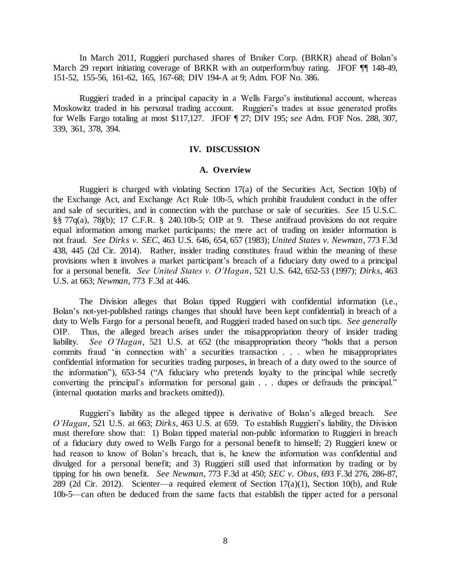In March 2011, Ruggieri purchased shares of Bruker Corp. (BRKR) ahead of Bolan's March 29 report initiating coverage of BRKR with an outperform/buy rating. JFOF  $\P\P$  148-49, 151-52, 155-56, 161-62, 165, 167-68; DIV 194-A at 9; Adm. FOF No. 386.

Ruggieri traded in a principal capacity in a Wells Fargo's institutional account, whereas Moskowitz traded in his personal trading account. Ruggieri's trades at issue generated profits for Wells Fargo totaling at most \$117,127. JFOF ¶ 27; DIV 195; *see* Adm. FOF Nos. 288, 307, 339, 361, 378, 394.

### **IV. DISCUSSION**

#### **A. Overview**

Ruggieri is charged with violating Section 17(a) of the Securities Act, Section 10(b) of the Exchange Act, and Exchange Act Rule 10b-5, which prohibit fraudulent conduct in the offer and sale of securities, and in connection with the purchase or sale of securities. *See* 15 U.S.C. §§ 77q(a), 78j(b); 17 C.F.R. § 240.10b-5; OIP at 9. These antifraud provisions do not require equal information among market participants; the mere act of trading on insider information is not fraud. *See Dirks v. SEC*, 463 U.S. 646, 654, 657 (1983); *United States v. Newman*, 773 F.3d 438, 445 (2d Cir. 2014). Rather, insider trading constitutes fraud within the meaning of these provisions when it involves a market participant's breach of a fiduciary duty owed to a principal for a personal benefit. *See United States v. O'Hagan*, 521 U.S. 642, 652-53 (1997); *Dirks*, 463 U.S. at 663; *Newman*, 773 F.3d at 446.

The Division alleges that Bolan tipped Ruggieri with confidential information (i.e., Bolan's not-yet-published ratings changes that should have been kept confidential) in breach of a duty to Wells Fargo for a personal benefit, and Ruggieri traded based on such tips. *See generally* OIP. Thus, the alleged breach arises under the misappropriation theory of insider trading liability. *See O'Hagan*, 521 U.S. at 652 (the misappropriation theory "holds that a person commits fraud 'in connection with' a securities transaction . . . when he misappropriates confidential information for securities trading purposes, in breach of a duty owed to the source of the information"), 653-54 ("A fiduciary who pretends loyalty to the principal while secretly converting the principal's information for personal gain . . . dupes or defrauds the principal." (internal quotation marks and brackets omitted)).

Ruggieri's liability as the alleged tippee is derivative of Bolan's alleged breach. *See O'Hagan*, 521 U.S. at 663; *Dirks*, 463 U.S. at 659. To establish Ruggieri's liability, the Division must therefore show that: 1) Bolan tipped material non-public information to Ruggieri in breach of a fiduciary duty owed to Wells Fargo for a personal benefit to himself; 2) Ruggieri knew or had reason to know of Bolan's breach, that is, he knew the information was confidential and divulged for a personal benefit; and 3) Ruggieri still used that information by trading or by tipping for his own benefit. *See Newman*, 773 F.3d at 450; *SEC v. Obus*, 693 F.3d 276, 286-87, 289 (2d Cir. 2012). Scienter—a required element of Section 17(a)(1), Section 10(b), and Rule 10b-5—can often be deduced from the same facts that establish the tipper acted for a personal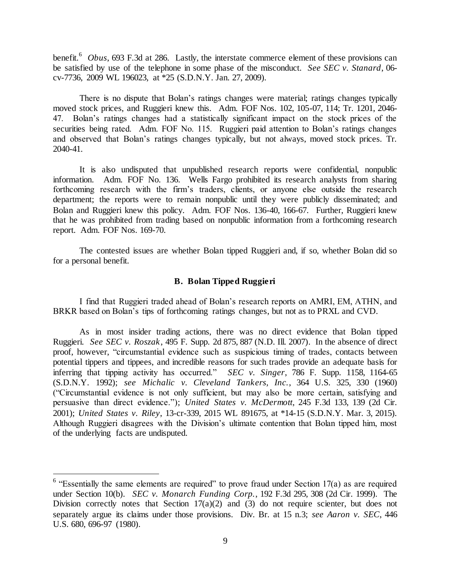benefit.<sup>6</sup> *Obus*, 693 F.3d at 286. Lastly, the interstate commerce element of these provisions can be satisfied by use of the telephone in some phase of the misconduct. *See SEC v. Stanard*, 06 cv-7736, 2009 WL 196023, at \*25 (S.D.N.Y. Jan. 27, 2009).

There is no dispute that Bolan's ratings changes were material; ratings changes typically moved stock prices, and Ruggieri knew this. Adm. FOF Nos. 102, 105-07, 114; Tr. 1201, 2046- 47. Bolan's ratings changes had a statistically significant impact on the stock prices of the securities being rated. Adm. FOF No. 115. Ruggieri paid attention to Bolan's ratings changes and observed that Bolan's ratings changes typically, but not always, moved stock prices. Tr. 2040-41.

It is also undisputed that unpublished research reports were confidential, nonpublic information. Adm. FOF No. 136. Wells Fargo prohibited its research analysts from sharing forthcoming research with the firm's traders, clients, or anyone else outside the research department; the reports were to remain nonpublic until they were publicly disseminated; and Bolan and Ruggieri knew this policy. Adm. FOF Nos. 136-40, 166-67. Further, Ruggieri knew that he was prohibited from trading based on nonpublic information from a forthcoming research report. Adm. FOF Nos. 169-70.

The contested issues are whether Bolan tipped Ruggieri and, if so, whether Bolan did so for a personal benefit.

## **B. Bolan Tipped Ruggieri**

I find that Ruggieri traded ahead of Bolan's research reports on AMRI, EM, ATHN, and BRKR based on Bolan's tips of forthcoming ratings changes, but not as to PRXL and CVD.

As in most insider trading actions, there was no direct evidence that Bolan tipped Ruggieri. *See SEC v. Roszak*, 495 F. Supp. 2d 875, 887 (N.D. Ill. 2007). In the absence of direct proof, however, "circumstantial evidence such as suspicious timing of trades, contacts between potential tippers and tippees, and incredible reasons for such trades provide an adequate basis for inferring that tipping activity has occurred." SEC v. Singer, 786 F. Supp. 1158, 1164-65 inferring that tipping activity has occurred." *SEC v. Singer*, 786 F. Supp. 1158, 1164-65 (S.D.N.Y. 1992); *see Michalic v. Cleveland Tankers, Inc.*, 364 U.S. 325, 330 (1960) ("Circumstantial evidence is not only sufficient, but may also be more certain, satisfying and persuasive than direct evidence."); *United States v. McDermott*, 245 F.3d 133, 139 (2d Cir. 2001); *United States v. Riley*, 13-cr-339, 2015 WL 891675, at \*14-15 (S.D.N.Y. Mar. 3, 2015). Although Ruggieri disagrees with the Division's ultimate contention that Bolan tipped him, most of the underlying facts are undisputed.

<sup>&</sup>lt;sup>6</sup> "Essentially the same elements are required" to prove fraud under Section 17(a) as are required under Section 10(b). *SEC v. Monarch Funding Corp.*, 192 F.3d 295, 308 (2d Cir. 1999). The Division correctly notes that Section  $17(a)(2)$  and (3) do not require scienter, but does not separately argue its claims under those provisions. Div. Br. at 15 n.3; *see Aaron v. SEC*, 446 U.S. 680, 696-97 (1980).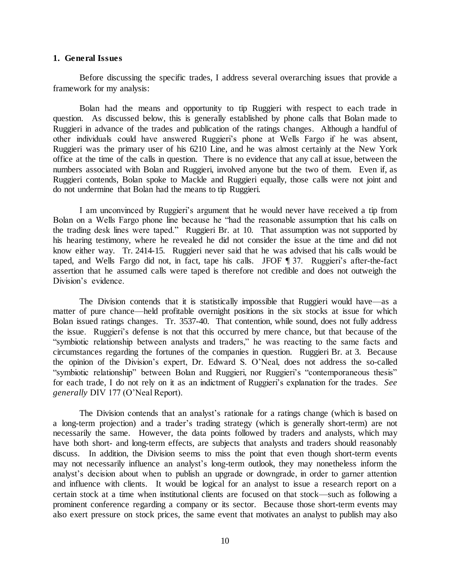#### **1. General Issues**

Before discussing the specific trades, I address several overarching issues that provide a framework for my analysis:

Bolan had the means and opportunity to tip Ruggieri with respect to each trade in question. As discussed below, this is generally established by phone calls that Bolan made to Ruggieri in advance of the trades and publication of the ratings changes. Although a handful of other individuals could have answered Ruggieri's phone at Wells Fargo if he was absent, Ruggieri was the primary user of his 6210 Line, and he was almost certainly at the New York office at the time of the calls in question. There is no evidence that any call at issue, between the numbers associated with Bolan and Ruggieri, involved anyone but the two of them. Even if, as Ruggieri contends, Bolan spoke to Mackle and Ruggieri equally, those calls were not joint and do not undermine that Bolan had the means to tip Ruggieri.

I am unconvinced by Ruggieri's argument that he would never have received a tip from Bolan on a Wells Fargo phone line because he "had the reasonable assumption that his calls on the trading desk lines were taped." Ruggieri Br. at 10. That assumption was not supported by his hearing testimony, where he revealed he did not consider the issue at the time and did not know either way. Tr. 2414-15. Ruggieri never said that he was advised that his calls would be taped, and Wells Fargo did not, in fact, tape his calls. JFOF ¶ 37. Ruggieri's after-the-fact assertion that he assumed calls were taped is therefore not credible and does not outweigh the Division's evidence.

The Division contends that it is statistically impossible that Ruggieri would have—as a matter of pure chance—held profitable overnight positions in the six stocks at issue for which Bolan issued ratings changes. Tr. 3537-40. That contention, while sound, does not fully address the issue. Ruggieri's defense is not that this occurred by mere chance, but that because of the "symbiotic relationship between analysts and traders," he was reacting to the same facts and circumstances regarding the fortunes of the companies in question. Ruggieri Br. at 3. Because the opinion of the Division's expert, Dr. Edward S. O'Neal, does not address the so-called "symbiotic relationship" between Bolan and Ruggieri, nor Ruggieri's "contemporaneous thesis" for each trade, I do not rely on it as an indictment of Ruggieri's explanation for the trades. *See generally* DIV 177 (O'Neal Report).

The Division contends that an analyst's rationale for a ratings change (which is based on a long-term projection) and a trader's trading strategy (which is generally short-term) are not necessarily the same. However, the data points followed by traders and analysts, which may have both short- and long-term effects, are subjects that analysts and traders should reasonably discuss. In addition, the Division seems to miss the point that even though short-term events may not necessarily influence an analyst's long-term outlook, they may nonetheless inform the analyst's decision about when to publish an upgrade or downgrade, in order to garner attention and influence with clients. It would be logical for an analyst to issue a research report on a certain stock at a time when institutional clients are focused on that stock—such as following a prominent conference regarding a company or its sector. Because those short-term events may also exert pressure on stock prices, the same event that motivates an analyst to publish may also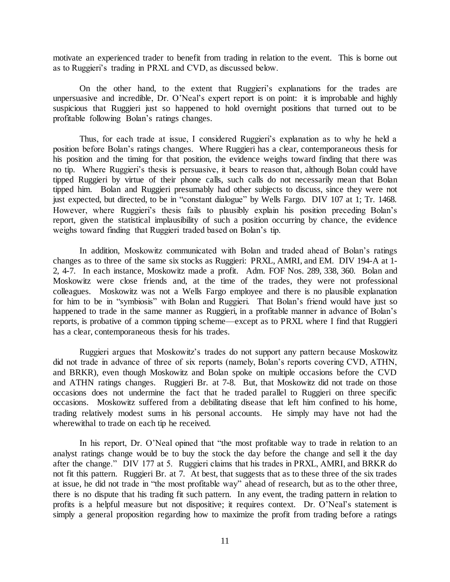motivate an experienced trader to benefit from trading in relation to the event. This is borne out as to Ruggieri's trading in PRXL and CVD, as discussed below.

On the other hand, to the extent that Ruggieri's explanations for the trades are unpersuasive and incredible, Dr. O'Neal's expert report is on point: it is improbable and highly suspicious that Ruggieri just so happened to hold overnight positions that turned out to be profitable following Bolan's ratings changes.

Thus, for each trade at issue, I considered Ruggieri's explanation as to why he held a position before Bolan's ratings changes. Where Ruggieri has a clear, contemporaneous thesis for his position and the timing for that position, the evidence weighs toward finding that there was no tip. Where Ruggieri's thesis is persuasive, it bears to reason that, although Bolan could have tipped Ruggieri by virtue of their phone calls, such calls do not necessarily mean that Bolan tipped him. Bolan and Ruggieri presumably had other subjects to discuss, since they were not just expected, but directed, to be in "constant dialogue" by Wells Fargo. DIV 107 at 1; Tr. 1468. However, where Ruggieri's thesis fails to plausibly explain his position preceding Bolan's report, given the statistical implausibility of such a position occurring by chance, the evidence weighs toward finding that Ruggieri traded based on Bolan's tip.

In addition, Moskowitz communicated with Bolan and traded ahead of Bolan's ratings changes as to three of the same six stocks as Ruggieri: PRXL, AMRI, and EM. DIV 194-A at 1- 2, 4-7. In each instance, Moskowitz made a profit. Adm. FOF Nos. 289, 338, 360. Bolan and Moskowitz were close friends and, at the time of the trades, they were not professional colleagues. Moskowitz was not a Wells Fargo employee and there is no plausible explanation for him to be in "symbiosis" with Bolan and Ruggieri. That Bolan's friend would have just so happened to trade in the same manner as Ruggieri, in a profitable manner in advance of Bolan's reports, is probative of a common tipping scheme—except as to PRXL where I find that Ruggieri has a clear, contemporaneous thesis for his trades.

Ruggieri argues that Moskowitz's trades do not support any pattern because Moskowitz did not trade in advance of three of six reports (namely, Bolan's reports covering CVD, ATHN, and BRKR), even though Moskowitz and Bolan spoke on multiple occasions before the CVD and ATHN ratings changes. Ruggieri Br. at 7-8. But, that Moskowitz did not trade on those occasions does not undermine the fact that he traded parallel to Ruggieri on three specific occasions. Moskowitz suffered from a debilitating disease that left him confined to his home, trading relatively modest sums in his personal accounts. He simply may have not had the wherewithal to trade on each tip he received.

In his report, Dr. O'Neal opined that "the most profitable way to trade in relation to an analyst ratings change would be to buy the stock the day before the change and sell it the day after the change." DIV 177 at 5. Ruggieri claims that his trades in PRXL, AMRI, and BRKR do not fit this pattern. Ruggieri Br. at 7. At best, that suggests that as to these three of the six trades at issue, he did not trade in "the most profitable way" ahead of research, but as to the other three, there is no dispute that his trading fit such pattern. In any event, the trading pattern in relation to profits is a helpful measure but not dispositive; it requires context. Dr. O'Neal's statement is simply a general proposition regarding how to maximize the profit from trading before a ratings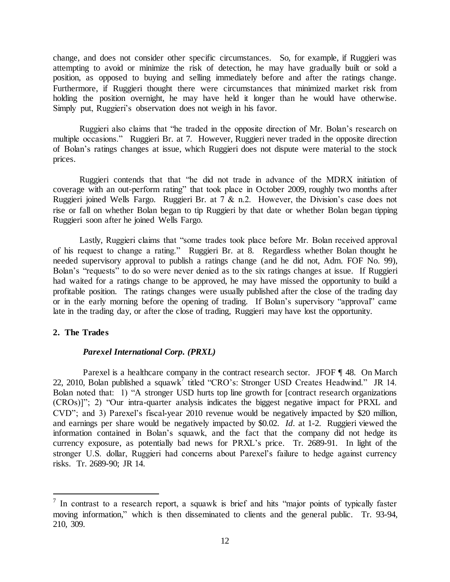change, and does not consider other specific circumstances. So, for example, if Ruggieri was attempting to avoid or minimize the risk of detection, he may have gradually built or sold a position, as opposed to buying and selling immediately before and after the ratings change. Furthermore, if Ruggieri thought there were circumstances that minimized market risk from holding the position overnight, he may have held it longer than he would have otherwise. Simply put, Ruggieri's observation does not weigh in his favor.

Ruggieri also claims that "he traded in the opposite direction of Mr. Bolan's research on multiple occasions." Ruggieri Br. at 7. However, Ruggieri never traded in the opposite direction of Bolan's ratings changes at issue, which Ruggieri does not dispute were material to the stock prices.

Ruggieri contends that that "he did not trade in advance of the MDRX initiation of coverage with an out-perform rating" that took place in October 2009, roughly two months after Ruggieri joined Wells Fargo. Ruggieri Br. at 7 & n.2. However, the Division's case does not rise or fall on whether Bolan began to tip Ruggieri by that date or whether Bolan began tipping Ruggieri soon after he joined Wells Fargo.

Lastly, Ruggieri claims that "some trades took place before Mr. Bolan received approval of his request to change a rating." Ruggieri Br. at 8. Regardless whether Bolan thought he needed supervisory approval to publish a ratings change (and he did not, Adm. FOF No. 99), Bolan's "requests" to do so were never denied as to the six ratings changes at issue. If Ruggieri had waited for a ratings change to be approved, he may have missed the opportunity to build a profitable position. The ratings changes were usually published after the close of the trading day or in the early morning before the opening of trading. If Bolan's supervisory "approval" came late in the trading day, or after the close of trading, Ruggieri may have lost the opportunity.

# **2. The Trades**

# *Parexel International Corp. (PRXL)*

Parexel is a healthcare company in the contract research sector. JFOF ¶ 48. On March 22, 2010, Bolan published a squawk<sup>7</sup> titled "CRO's: Stronger USD Creates Headwind." JR 14. Bolan noted that: 1) "A stronger USD hurts top line growth for [contract research organizations (CROs)]"; 2) "Our intra-quarter analysis indicates the biggest negative impact for PRXL and CVD"; and 3) Parexel's fiscal-year 2010 revenue would be negatively impacted by \$20 million, and earnings per share would be negatively impacted by \$0.02. *Id.* at 1-2. Ruggieri viewed the information contained in Bolan's squawk, and the fact that the company did not hedge its currency exposure, as potentially bad news for PRXL's price. Tr. 2689-91. In light of the stronger U.S. dollar, Ruggieri had concerns about Parexel's failure to hedge against currency risks. Tr. 2689-90; JR 14.

<sup>&</sup>lt;sup>7</sup> In contrast to a research report, a squawk is brief and hits "major points of typically faster moving information," which is then disseminated to clients and the general public. Tr. 93-94, 210, 309.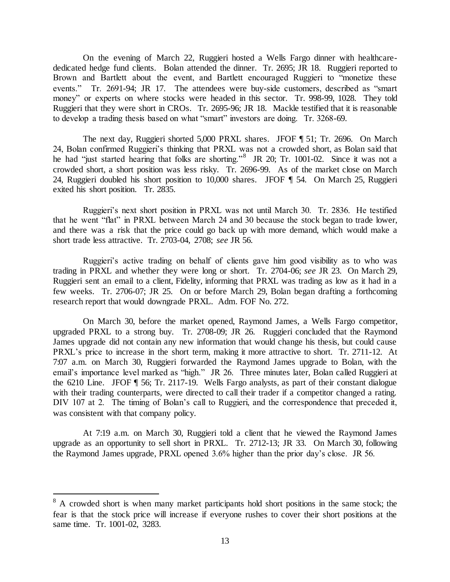On the evening of March 22, Ruggieri hosted a Wells Fargo dinner with healthcarededicated hedge fund clients. Bolan attended the dinner. Tr. 2695; JR 18. Ruggieri reported to Brown and Bartlett about the event, and Bartlett encouraged Ruggieri to "monetize these events." Tr. 2691-94; JR 17. The attendees were buy-side customers, described as "smart money" or experts on where stocks were headed in this sector. Tr. 998-99, 1028. They told Ruggieri that they were short in CROs. Tr. 2695-96; JR 18. Mackle testified that it is reasonable to develop a trading thesis based on what "smart" investors are doing. Tr. 3268-69.

The next day, Ruggieri shorted 5,000 PRXL shares. JFOF ¶ 51; Tr. 2696. On March 24, Bolan confirmed Ruggieri's thinking that PRXL was not a crowded short, as Bolan said that he had "just started hearing that folks are shorting."<sup>8</sup> JR 20; Tr. 1001-02. Since it was not a crowded short, a short position was less risky. Tr. 2696-99. As of the market close on March 24, Ruggieri doubled his short position to 10,000 shares. JFOF ¶ 54. On March 25, Ruggieri exited his short position. Tr. 2835.

Ruggieri's next short position in PRXL was not until March 30. Tr. 2836. He testified that he went "flat" in PRXL between March 24 and 30 because the stock began to trade lower, and there was a risk that the price could go back up with more demand, which would make a short trade less attractive. Tr. 2703-04, 2708; *see* JR 56.

Ruggieri's active trading on behalf of clients gave him good visibility as to who was trading in PRXL and whether they were long or short. Tr. 2704-06; *see* JR 23. On March 29, Ruggieri sent an email to a client, Fidelity, informing that PRXL was trading as low as it had in a few weeks. Tr. 2706-07; JR 25. On or before March 29, Bolan began drafting a forthcoming research report that would downgrade PRXL. Adm. FOF No. 272.

On March 30, before the market opened, Raymond James, a Wells Fargo competitor, upgraded PRXL to a strong buy. Tr. 2708-09; JR 26. Ruggieri concluded that the Raymond James upgrade did not contain any new information that would change his thesis, but could cause PRXL's price to increase in the short term, making it more attractive to short. Tr. 2711-12. At 7:07 a.m. on March 30, Ruggieri forwarded the Raymond James upgrade to Bolan, with the email's importance level marked as "high." JR 26. Three minutes later, Bolan called Ruggieri at the 6210 Line. JFOF ¶ 56; Tr. 2117-19. Wells Fargo analysts, as part of their constant dialogue with their trading counterparts, were directed to call their trader if a competitor changed a rating. DIV 107 at 2. The timing of Bolan's call to Ruggieri, and the correspondence that preceded it, was consistent with that company policy.

At 7:19 a.m. on March 30, Ruggieri told a client that he viewed the Raymond James upgrade as an opportunity to sell short in PRXL. Tr. 2712-13; JR 33. On March 30, following the Raymond James upgrade, PRXL opened 3.6% higher than the prior day's close. JR 56.

 $8<sup>8</sup>$  A crowded short is when many market participants hold short positions in the same stock; the fear is that the stock price will increase if everyone rushes to cover their short positions at the same time. Tr. 1001-02, 3283.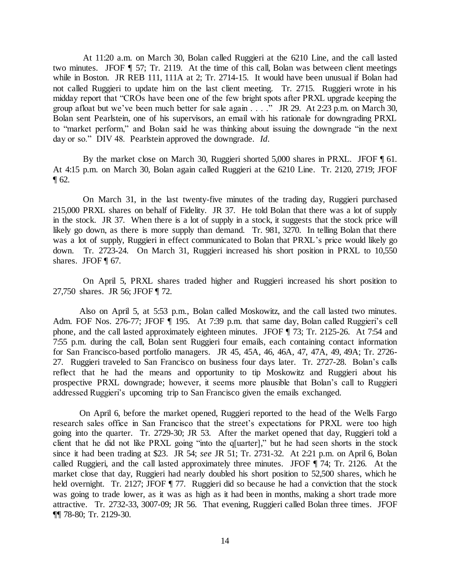At 11:20 a.m. on March 30, Bolan called Ruggieri at the 6210 Line, and the call lasted two minutes. JFOF ¶ 57; Tr. 2119. At the time of this call, Bolan was between client meetings while in Boston. JR REB 111, 111A at 2; Tr. 2714-15. It would have been unusual if Bolan had not called Ruggieri to update him on the last client meeting. Tr. 2715. Ruggieri wrote in his midday report that "CROs have been one of the few bright spots after PRXL upgrade keeping the group afloat but we've been much better for sale again . . . ." JR 29. At 2:23 p.m. on March 30, Bolan sent Pearlstein, one of his supervisors, an email with his rationale for downgrading PRXL to "market perform," and Bolan said he was thinking about issuing the downgrade "in the next day or so." DIV 48. Pearlstein approved the downgrade. *Id.*

By the market close on March 30, Ruggieri shorted 5,000 shares in PRXL. JFOF ¶ 61. At 4:15 p.m. on March 30, Bolan again called Ruggieri at the 6210 Line. Tr. 2120, 2719; JFOF  $\P$  62.

On March 31, in the last twenty-five minutes of the trading day, Ruggieri purchased 215,000 PRXL shares on behalf of Fidelity. JR 37. He told Bolan that there was a lot of supply in the stock. JR 37. When there is a lot of supply in a stock, it suggests that the stock price will likely go down, as there is more supply than demand. Tr. 981, 3270. In telling Bolan that there was a lot of supply, Ruggieri in effect communicated to Bolan that PRXL's price would likely go down. Tr. 2723-24. On March 31, Ruggieri increased his short position in PRXL to 10,550 shares. JFOF [ 67.

On April 5, PRXL shares traded higher and Ruggieri increased his short position to 27,750 shares. JR 56; JFOF ¶ 72.

Also on April 5, at 5:53 p.m., Bolan called Moskowitz, and the call lasted two minutes. Adm. FOF Nos. 276-77; JFOF ¶ 195. At 7:39 p.m. that same day, Bolan called Ruggieri's cell phone, and the call lasted approximately eighteen minutes. JFOF ¶ 73; Tr. 2125-26. At 7:54 and 7:55 p.m. during the call, Bolan sent Ruggieri four emails, each containing contact information for San Francisco-based portfolio managers. JR 45, 45A, 46, 46A, 47, 47A, 49, 49A; Tr. 2726- 27. Ruggieri traveled to San Francisco on business four days later. Tr. 2727-28. Bolan's calls reflect that he had the means and opportunity to tip Moskowitz and Ruggieri about his prospective PRXL downgrade; however, it seems more plausible that Bolan's call to Ruggieri addressed Ruggieri's upcoming trip to San Francisco given the emails exchanged.

On April 6, before the market opened, Ruggieri reported to the head of the Wells Fargo research sales office in San Francisco that the street's expectations for PRXL were too high going into the quarter. Tr. 2729-30; JR 53. After the market opened that day, Ruggieri told a client that he did not like PRXL going "into the q[uarter]," but he had seen shorts in the stock since it had been trading at \$23. JR 54; *see* JR 51; Tr. 2731-32. At 2:21 p.m. on April 6, Bolan called Ruggieri, and the call lasted approximately three minutes. JFOF ¶ 74; Tr. 2126. At the market close that day, Ruggieri had nearly doubled his short position to 52,500 shares, which he held overnight. Tr. 2127; JFOF ¶ 77. Ruggieri did so because he had a conviction that the stock was going to trade lower, as it was as high as it had been in months, making a short trade more attractive. Tr. 2732-33, 3007-09; JR 56. That evening, Ruggieri called Bolan three times. JFOF ¶¶ 78-80; Tr. 2129-30.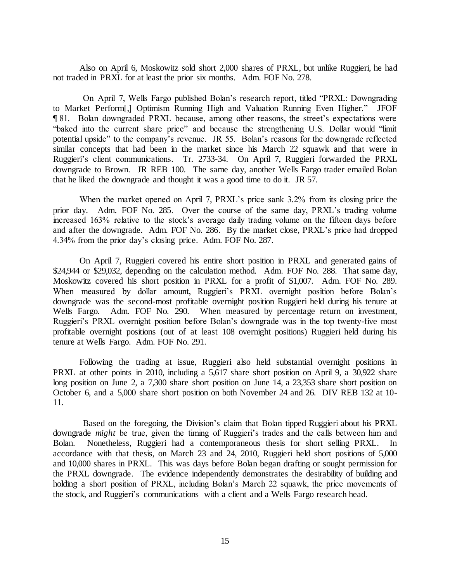Also on April 6, Moskowitz sold short 2,000 shares of PRXL, but unlike Ruggieri, he had not traded in PRXL for at least the prior six months. Adm. FOF No. 278.

On April 7, Wells Fargo published Bolan's research report, titled "PRXL: Downgrading to Market Perform[,] Optimism Running High and Valuation Running Even Higher." JFOF ¶ 81. Bolan downgraded PRXL because, among other reasons, the street's expectations were "baked into the current share price" and because the strengthening U.S. Dollar would "limit potential upside" to the company's revenue. JR 55. Bolan's reasons for the downgrade reflected similar concepts that had been in the market since his March 22 squawk and that were in Ruggieri's client communications. Tr. 2733-34. On April 7, Ruggieri forwarded the PRXL downgrade to Brown. JR REB 100. The same day, another Wells Fargo trader emailed Bolan that he liked the downgrade and thought it was a good time to do it. JR 57.

When the market opened on April 7, PRXL's price sank 3.2% from its closing price the prior day. Adm. FOF No. 285. Over the course of the same day, PRXL's trading volume increased 163% relative to the stock's average daily trading volume on the fifteen days before and after the downgrade. Adm. FOF No. 286. By the market close, PRXL's price had dropped 4.34% from the prior day's closing price. Adm. FOF No. 287.

On April 7, Ruggieri covered his entire short position in PRXL and generated gains of \$24,944 or \$29,032, depending on the calculation method. Adm. FOF No. 288. That same day, Moskowitz covered his short position in PRXL for a profit of \$1,007. Adm. FOF No. 289. When measured by dollar amount, Ruggieri's PRXL overnight position before Bolan's downgrade was the second-most profitable overnight position Ruggieri held during his tenure at Wells Fargo. Adm. FOF No. 290. When measured by percentage return on investment, Ruggieri's PRXL overnight position before Bolan's downgrade was in the top twenty-five most profitable overnight positions (out of at least 108 overnight positions) Ruggieri held during his tenure at Wells Fargo. Adm. FOF No. 291.

Following the trading at issue, Ruggieri also held substantial overnight positions in PRXL at other points in 2010, including a 5,617 share short position on April 9, a 30,922 share long position on June 2, a 7,300 share short position on June 14, a 23,353 share short position on October 6, and a 5,000 share short position on both November 24 and 26. DIV REB 132 at 10- 11.

Based on the foregoing, the Division's claim that Bolan tipped Ruggieri about his PRXL downgrade *might* be true, given the timing of Ruggieri's trades and the calls between him and Bolan. Nonetheless, Ruggieri had a contemporaneous thesis for short selling PRXL. In accordance with that thesis, on March 23 and 24, 2010, Ruggieri held short positions of 5,000 and 10,000 shares in PRXL. This was days before Bolan began drafting or sought permission for the PRXL downgrade. The evidence independently demonstrates the desirability of building and holding a short position of PRXL, including Bolan's March 22 squawk, the price movements of the stock, and Ruggieri's communications with a client and a Wells Fargo research head.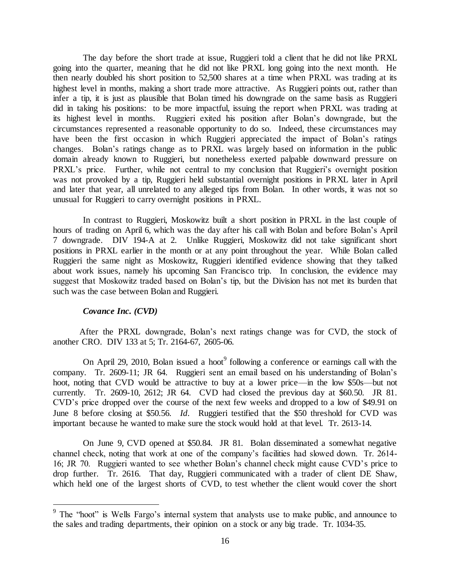The day before the short trade at issue, Ruggieri told a client that he did not like PRXL going into the quarter, meaning that he did not like PRXL long going into the next month. He then nearly doubled his short position to 52,500 shares at a time when PRXL was trading at its highest level in months, making a short trade more attractive. As Ruggieri points out, rather than infer a tip, it is just as plausible that Bolan timed his downgrade on the same basis as Ruggieri did in taking his positions: to be more impactful, issuing the report when PRXL was trading at its highest level in months. Ruggieri exited his position after Bolan's downgrade, but the circumstances represented a reasonable opportunity to do so. Indeed, these circumstances may have been the first occasion in which Ruggieri appreciated the impact of Bolan's ratings changes. Bolan's ratings change as to PRXL was largely based on information in the public domain already known to Ruggieri, but nonetheless exerted palpable downward pressure on PRXL's price. Further, while not central to my conclusion that Ruggieri's overnight position was not provoked by a tip, Ruggieri held substantial overnight positions in PRXL later in April and later that year, all unrelated to any alleged tips from Bolan. In other words, it was not so unusual for Ruggieri to carry overnight positions in PRXL.

In contrast to Ruggieri, Moskowitz built a short position in PRXL in the last couple of hours of trading on April 6, which was the day after his call with Bolan and before Bolan's April 7 downgrade. DIV 194-A at 2. Unlike Ruggieri, Moskowitz did not take significant short positions in PRXL earlier in the month or at any point throughout the year. While Bolan called Ruggieri the same night as Moskowitz, Ruggieri identified evidence showing that they talked about work issues, namely his upcoming San Francisco trip. In conclusion, the evidence may suggest that Moskowitz traded based on Bolan's tip, but the Division has not met its burden that such was the case between Bolan and Ruggieri.

## *Covance Inc. (CVD)*

After the PRXL downgrade, Bolan's next ratings change was for CVD, the stock of another CRO. DIV 133 at 5; Tr. 2164-67, 2605-06.

On April 29, 2010, Bolan issued a hoot $<sup>9</sup>$  following a conference or earnings call with the</sup> company. Tr. 2609-11; JR 64. Ruggieri sent an email based on his understanding of Bolan's hoot, noting that CVD would be attractive to buy at a lower price—in the low \$50s—but not currently. Tr. 2609-10, 2612; JR 64. CVD had closed the previous day at \$60.50. JR 81. CVD's price dropped over the course of the next few weeks and dropped to a low of \$49.91 on June 8 before closing at \$50.56. *Id.* Ruggieri testified that the \$50 threshold for CVD was important because he wanted to make sure the stock would hold at that level. Tr. 2613-14.

On June 9, CVD opened at \$50.84. JR 81. Bolan disseminated a somewhat negative channel check, noting that work at one of the company's facilities had slowed down. Tr. 2614- 16; JR 70. Ruggieri wanted to see whether Bolan's channel check might cause CVD's price to drop further. Tr. 2616. That day, Ruggieri communicated with a trader of client DE Shaw, which held one of the largest shorts of CVD, to test whether the client would cover the short

<sup>&</sup>lt;sup>9</sup> The "hoot" is Wells Fargo's internal system that analysts use to make public, and announce to the sales and trading departments, their opinion on a stock or any big trade. Tr. 1034-35.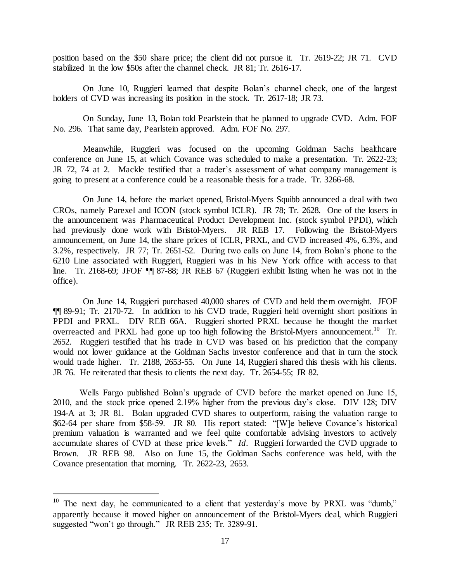position based on the \$50 share price; the client did not pursue it. Tr. 2619-22; JR 71. CVD stabilized in the low \$50s after the channel check. JR 81; Tr. 2616-17.

On June 10, Ruggieri learned that despite Bolan's channel check, one of the largest holders of CVD was increasing its position in the stock. Tr. 2617-18; JR 73.

On Sunday, June 13, Bolan told Pearlstein that he planned to upgrade CVD. Adm. FOF No. 296. That same day, Pearlstein approved. Adm. FOF No. 297.

Meanwhile, Ruggieri was focused on the upcoming Goldman Sachs healthcare conference on June 15, at which Covance was scheduled to make a presentation. Tr. 2622-23; JR 72, 74 at 2. Mackle testified that a trader's assessment of what company management is going to present at a conference could be a reasonable thesis for a trade. Tr. 3266-68.

On June 14, before the market opened, Bristol-Myers Squibb announced a deal with two CROs, namely Parexel and ICON (stock symbol ICLR). JR 78; Tr. 2628. One of the losers in the announcement was Pharmaceutical Product Development Inc. (stock symbol PPDI), which had previously done work with Bristol-Myers. JR REB 17. Following the Bristol-Myers announcement, on June 14, the share prices of ICLR, PRXL, and CVD increased 4%, 6.3%, and 3.2%, respectively. JR 77; Tr. 2651-52. During two calls on June 14, from Bolan's phone to the 6210 Line associated with Ruggieri, Ruggieri was in his New York office with access to that line. Tr. 2168-69; JFOF ¶¶ 87-88; JR REB 67 (Ruggieri exhibit listing when he was not in the office).

On June 14, Ruggieri purchased 40,000 shares of CVD and held them overnight. JFOF ¶¶ 89-91; Tr. 2170-72. In addition to his CVD trade, Ruggieri held overnight short positions in PPDI and PRXL. DIV REB 66A. Ruggieri shorted PRXL because he thought the market overreacted and PRXL had gone up too high following the Bristol-Myers announcement.<sup>10</sup> Tr. 2652. Ruggieri testified that his trade in CVD was based on his prediction that the company would not lower guidance at the Goldman Sachs investor conference and that in turn the stock would trade higher. Tr. 2188, 2653-55. On June 14, Ruggieri shared this thesis with his clients. JR 76. He reiterated that thesis to clients the next day. Tr. 2654-55; JR 82.

Wells Fargo published Bolan's upgrade of CVD before the market opened on June 15, 2010, and the stock price opened 2.19% higher from the previous day's close. DIV 128; DIV 194-A at 3; JR 81. Bolan upgraded CVD shares to outperform, raising the valuation range to \$62-64 per share from \$58-59. JR 80. His report stated: "[W]e believe Covance's historical premium valuation is warranted and we feel quite comfortable advising investors to actively accumulate shares of CVD at these price levels." *Id*. Ruggieri forwarded the CVD upgrade to Brown. JR REB 98. Also on June 15, the Goldman Sachs conference was held, with the Covance presentation that morning. Tr. 2622-23, 2653.

<sup>&</sup>lt;sup>10</sup> The next day, he communicated to a client that yesterday's move by PRXL was "dumb," apparently because it moved higher on announcement of the Bristol-Myers deal, which Ruggieri suggested "won't go through." JR REB 235; Tr. 3289-91.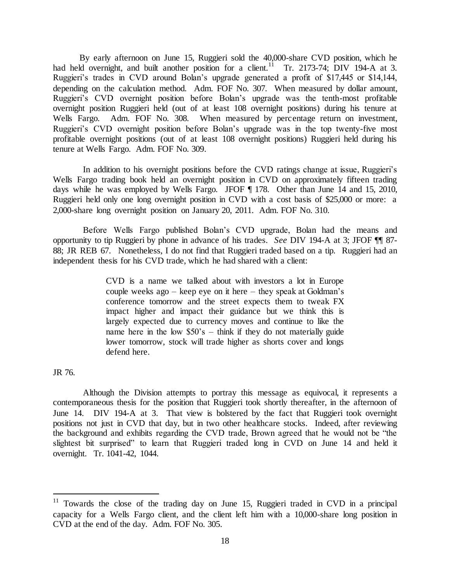By early afternoon on June 15, Ruggieri sold the 40,000-share CVD position, which he had held overnight, and built another position for a client.<sup>11</sup> Tr. 2173-74; DIV 194-A at 3. Ruggieri's trades in CVD around Bolan's upgrade generated a profit of \$17,445 or \$14,144, depending on the calculation method. Adm. FOF No. 307. When measured by dollar amount, Ruggieri's CVD overnight position before Bolan's upgrade was the tenth-most profitable overnight position Ruggieri held (out of at least 108 overnight positions) during his tenure at Wells Fargo. Adm. FOF No. 308. When measured by percentage return on investment, Ruggieri's CVD overnight position before Bolan's upgrade was in the top twenty-five most profitable overnight positions (out of at least 108 overnight positions) Ruggieri held during his tenure at Wells Fargo. Adm. FOF No. 309.

In addition to his overnight positions before the CVD ratings change at issue, Ruggieri's Wells Fargo trading book held an overnight position in CVD on approximately fifteen trading days while he was employed by Wells Fargo. JFOF ¶ 178. Other than June 14 and 15, 2010, Ruggieri held only one long overnight position in CVD with a cost basis of \$25,000 or more: a 2,000-share long overnight position on January 20, 2011. Adm. FOF No. 310.

Before Wells Fargo published Bolan's CVD upgrade, Bolan had the means and opportunity to tip Ruggieri by phone in advance of his trades. *See* DIV 194-A at 3; JFOF ¶¶ 87- 88; JR REB 67. Nonetheless, I do not find that Ruggieri traded based on a tip. Ruggieri had an independent thesis for his CVD trade, which he had shared with a client:

> CVD is a name we talked about with investors a lot in Europe couple weeks ago – keep eye on it here – they speak at Goldman's conference tomorrow and the street expects them to tweak FX impact higher and impact their guidance but we think this is largely expected due to currency moves and continue to like the name here in the low  $$50's - think if they do not materially guide$ lower tomorrow, stock will trade higher as shorts cover and longs defend here.

## JR 76.

l

Although the Division attempts to portray this message as equivocal, it represents a contemporaneous thesis for the position that Ruggieri took shortly thereafter, in the afternoon of June 14. DIV 194-A at 3. That view is bolstered by the fact that Ruggieri took overnight positions not just in CVD that day, but in two other healthcare stocks. Indeed, after reviewing the background and exhibits regarding the CVD trade, Brown agreed that he would not be "the slightest bit surprised" to learn that Ruggieri traded long in CVD on June 14 and held it overnight. Tr. 1041-42, 1044.

<sup>&</sup>lt;sup>11</sup> Towards the close of the trading day on June 15, Ruggieri traded in CVD in a principal capacity for a Wells Fargo client, and the client left him with a 10,000-share long position in CVD at the end of the day. Adm. FOF No. 305.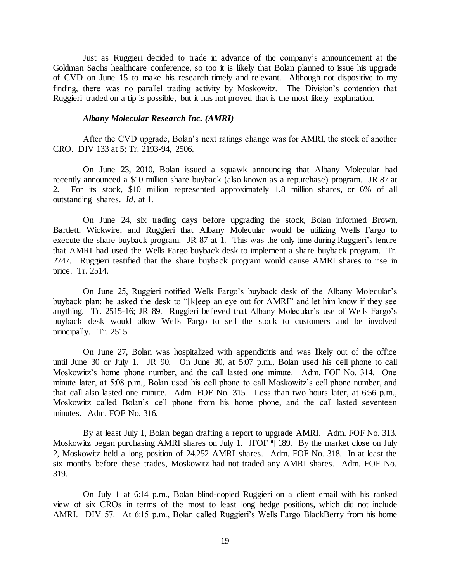Just as Ruggieri decided to trade in advance of the company's announcement at the Goldman Sachs healthcare conference, so too it is likely that Bolan planned to issue his upgrade of CVD on June 15 to make his research timely and relevant. Although not dispositive to my finding, there was no parallel trading activity by Moskowitz. The Division's contention that Ruggieri traded on a tip is possible, but it has not proved that is the most likely explanation.

#### *Albany Molecular Research Inc. (AMRI)*

After the CVD upgrade, Bolan's next ratings change was for AMRI, the stock of another CRO. DIV 133 at 5; Tr. 2193-94, 2506.

On June 23, 2010, Bolan issued a squawk announcing that Albany Molecular had recently announced a \$10 million share buyback (also known as a repurchase) program. JR 87 at 2. For its stock, \$10 million represented approximately 1.8 million shares, or 6% of all outstanding shares. *Id.* at 1.

On June 24, six trading days before upgrading the stock, Bolan informed Brown, Bartlett, Wickwire, and Ruggieri that Albany Molecular would be utilizing Wells Fargo to execute the share buyback program. JR 87 at 1. This was the only time during Ruggieri's tenure that AMRI had used the Wells Fargo buyback desk to implement a share buyback program. Tr. 2747. Ruggieri testified that the share buyback program would cause AMRI shares to rise in price. Tr. 2514.

On June 25, Ruggieri notified Wells Fargo's buyback desk of the Albany Molecular's buyback plan; he asked the desk to "[k]eep an eye out for AMRI" and let him know if they see anything. Tr. 2515-16; JR 89. Ruggieri believed that Albany Molecular's use of Wells Fargo's buyback desk would allow Wells Fargo to sell the stock to customers and be involved principally. Tr. 2515.

On June 27, Bolan was hospitalized with appendicitis and was likely out of the office until June 30 or July 1. JR 90. On June 30, at 5:07 p.m., Bolan used his cell phone to call Moskowitz's home phone number, and the call lasted one minute. Adm. FOF No. 314. One minute later, at 5:08 p.m., Bolan used his cell phone to call Moskowitz's cell phone number, and that call also lasted one minute. Adm. FOF No. 315. Less than two hours later, at 6:56 p.m., Moskowitz called Bolan's cell phone from his home phone, and the call lasted seventeen minutes. Adm. FOF No. 316.

By at least July 1, Bolan began drafting a report to upgrade AMRI. Adm. FOF No. 313. Moskowitz began purchasing AMRI shares on July 1. JFOF ¶ 189. By the market close on July 2, Moskowitz held a long position of 24,252 AMRI shares. Adm. FOF No. 318. In at least the six months before these trades, Moskowitz had not traded any AMRI shares. Adm. FOF No. 319.

On July 1 at 6:14 p.m., Bolan blind-copied Ruggieri on a client email with his ranked view of six CROs in terms of the most to least long hedge positions, which did not include AMRI. DIV 57. At 6:15 p.m., Bolan called Ruggieri's Wells Fargo BlackBerry from his home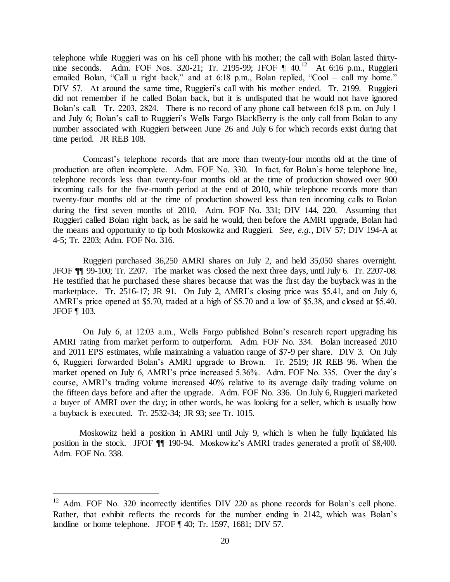telephone while Ruggieri was on his cell phone with his mother; the call with Bolan lasted thirtynine seconds. Adm. FOF Nos. 320-21; Tr. 2195-99; JFOF ¶ 40.<sup>12</sup> At 6:16 p.m., Ruggieri emailed Bolan, "Call u right back," and at 6:18 p.m., Bolan replied, "Cool – call my home." DIV 57. At around the same time, Ruggieri's call with his mother ended. Tr. 2199. Ruggieri did not remember if he called Bolan back, but it is undisputed that he would not have ignored Bolan's call. Tr. 2203, 2824. There is no record of any phone call between 6:18 p.m. on July 1 and July 6; Bolan's call to Ruggieri's Wells Fargo BlackBerry is the only call from Bolan to any number associated with Ruggieri between June 26 and July 6 for which records exist during that time period. JR REB 108.

Comcast's telephone records that are more than twenty-four months old at the time of production are often incomplete. Adm. FOF No. 330. In fact, for Bolan's home telephone line, telephone records less than twenty-four months old at the time of production showed over 900 incoming calls for the five-month period at the end of 2010, while telephone records more than twenty-four months old at the time of production showed less than ten incoming calls to Bolan during the first seven months of 2010. Adm. FOF No. 331; DIV 144, 220. Assuming that Ruggieri called Bolan right back, as he said he would, then before the AMRI upgrade, Bolan had the means and opportunity to tip both Moskowitz and Ruggieri. *See, e.g.*, DIV 57; DIV 194-A at 4-5; Tr. 2203; Adm. FOF No. 316.

Ruggieri purchased 36,250 AMRI shares on July 2, and held 35,050 shares overnight. JFOF ¶¶ 99-100; Tr. 2207. The market was closed the next three days, until July 6. Tr. 2207-08. He testified that he purchased these shares because that was the first day the buyback was in the marketplace. Tr. 2516-17; JR 91. On July 2, AMRI's closing price was \$5.41, and on July 6, AMRI's price opened at \$5.70, traded at a high of \$5.70 and a low of \$5.38, and closed at \$5.40. JFOF ¶ 103.

On July 6, at 12:03 a.m., Wells Fargo published Bolan's research report upgrading his AMRI rating from market perform to outperform. Adm. FOF No. 334. Bolan increased 2010 and 2011 EPS estimates, while maintaining a valuation range of \$7-9 per share. DIV 3. On July 6, Ruggieri forwarded Bolan's AMRI upgrade to Brown. Tr. 2519; JR REB 96. When the market opened on July 6, AMRI's price increased 5.36%. Adm. FOF No. 335. Over the day's course, AMRI's trading volume increased 40% relative to its average daily trading volume on the fifteen days before and after the upgrade. Adm. FOF No. 336. On July 6, Ruggieri marketed a buyer of AMRI over the day; in other words, he was looking for a seller, which is usually how a buyback is executed. Tr. 2532-34; JR 93; *see* Tr. 1015.

Moskowitz held a position in AMRI until July 9, which is when he fully liquidated his position in the stock. JFOF ¶¶ 190-94. Moskowitz's AMRI trades generated a profit of \$8,400. Adm. FOF No. 338.

 $12$  Adm. FOF No. 320 incorrectly identifies DIV 220 as phone records for Bolan's cell phone. Rather, that exhibit reflects the records for the number ending in 2142, which was Bolan's landline or home telephone. JFOF ¶ 40; Tr. 1597, 1681; DIV 57.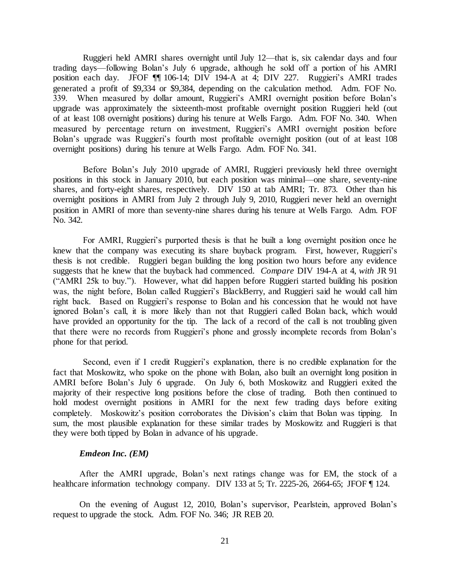Ruggieri held AMRI shares overnight until July 12—that is, six calendar days and four trading days—following Bolan's July 6 upgrade, although he sold off a portion of his AMRI position each day. JFOF ¶¶ 106-14; DIV 194-A at 4; DIV 227. Ruggieri's AMRI trades generated a profit of \$9,334 or \$9,384, depending on the calculation method. Adm. FOF No. 339. When measured by dollar amount, Ruggieri's AMRI overnight position before Bolan's upgrade was approximately the sixteenth-most profitable overnight position Ruggieri held (out of at least 108 overnight positions) during his tenure at Wells Fargo. Adm. FOF No. 340. When measured by percentage return on investment, Ruggieri's AMRI overnight position before Bolan's upgrade was Ruggieri's fourth most profitable overnight position (out of at least 108 overnight positions) during his tenure at Wells Fargo. Adm. FOF No. 341.

Before Bolan's July 2010 upgrade of AMRI, Ruggieri previously held three overnight positions in this stock in January 2010, but each position was minimal—one share, seventy-nine shares, and forty-eight shares, respectively. DIV 150 at tab AMRI; Tr. 873. Other than his overnight positions in AMRI from July 2 through July 9, 2010, Ruggieri never held an overnight position in AMRI of more than seventy-nine shares during his tenure at Wells Fargo. Adm. FOF No. 342.

For AMRI, Ruggieri's purported thesis is that he built a long overnight position once he knew that the company was executing its share buyback program. First, however, Ruggieri's thesis is not credible. Ruggieri began building the long position two hours before any evidence suggests that he knew that the buyback had commenced. *Compare* DIV 194-A at 4, *with* JR 91 ("AMRI 25k to buy."). However, what did happen before Ruggieri started building his position was, the night before, Bolan called Ruggieri's BlackBerry, and Ruggieri said he would call him right back. Based on Ruggieri's response to Bolan and his concession that he would not have ignored Bolan's call, it is more likely than not that Ruggieri called Bolan back, which would have provided an opportunity for the tip. The lack of a record of the call is not troubling given that there were no records from Ruggieri's phone and grossly incomplete records from Bolan's phone for that period.

Second, even if I credit Ruggieri's explanation, there is no credible explanation for the fact that Moskowitz, who spoke on the phone with Bolan, also built an overnight long position in AMRI before Bolan's July 6 upgrade. On July 6, both Moskowitz and Ruggieri exited the majority of their respective long positions before the close of trading. Both then continued to hold modest overnight positions in AMRI for the next few trading days before exiting completely. Moskowitz's position corroborates the Division's claim that Bolan was tipping. In sum, the most plausible explanation for these similar trades by Moskowitz and Ruggieri is that they were both tipped by Bolan in advance of his upgrade.

## *Emdeon Inc. (EM)*

After the AMRI upgrade, Bolan's next ratings change was for EM, the stock of a healthcare information technology company. DIV 133 at 5; Tr. 2225-26, 2664-65; JFOF ¶ 124.

On the evening of August 12, 2010, Bolan's supervisor, Pearlstein, approved Bolan's request to upgrade the stock. Adm. FOF No. 346; JR REB 20.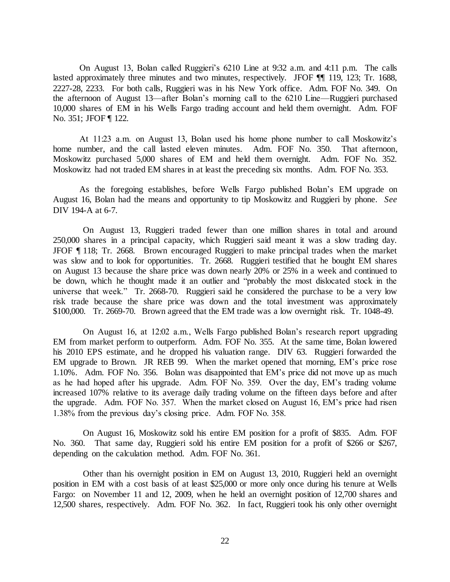On August 13, Bolan called Ruggieri's 6210 Line at 9:32 a.m. and 4:11 p.m. The calls lasted approximately three minutes and two minutes, respectively. JFOF  $\P$  119, 123; Tr. 1688, 2227-28, 2233. For both calls, Ruggieri was in his New York office. Adm. FOF No. 349. On the afternoon of August 13—after Bolan's morning call to the 6210 Line—Ruggieri purchased 10,000 shares of EM in his Wells Fargo trading account and held them overnight. Adm. FOF No. 351; JFOF ¶ 122.

At 11:23 a.m. on August 13, Bolan used his home phone number to call Moskowitz's home number, and the call lasted eleven minutes. Adm. FOF No. 350. That afternoon, Moskowitz purchased 5,000 shares of EM and held them overnight. Adm. FOF No. 352. Moskowitz had not traded EM shares in at least the preceding six months. Adm. FOF No. 353.

As the foregoing establishes, before Wells Fargo published Bolan's EM upgrade on August 16, Bolan had the means and opportunity to tip Moskowitz and Ruggieri by phone. *See*  DIV 194-A at 6-7.

On August 13, Ruggieri traded fewer than one million shares in total and around 250,000 shares in a principal capacity, which Ruggieri said meant it was a slow trading day. JFOF ¶ 118; Tr. 2668. Brown encouraged Ruggieri to make principal trades when the market was slow and to look for opportunities. Tr. 2668. Ruggieri testified that he bought EM shares on August 13 because the share price was down nearly 20% or 25% in a week and continued to be down, which he thought made it an outlier and "probably the most dislocated stock in the universe that week." Tr. 2668-70. Ruggieri said he considered the purchase to be a very low risk trade because the share price was down and the total investment was approximately \$100,000. Tr. 2669-70. Brown agreed that the EM trade was a low overnight risk. Tr. 1048-49.

On August 16, at 12:02 a.m., Wells Fargo published Bolan's research report upgrading EM from market perform to outperform. Adm. FOF No. 355. At the same time, Bolan lowered his 2010 EPS estimate, and he dropped his valuation range. DIV 63. Ruggieri forwarded the EM upgrade to Brown. JR REB 99. When the market opened that morning, EM's price rose 1.10%. Adm. FOF No. 356. Bolan was disappointed that EM's price did not move up as much as he had hoped after his upgrade. Adm. FOF No. 359. Over the day, EM's trading volume increased 107% relative to its average daily trading volume on the fifteen days before and after the upgrade. Adm. FOF No. 357. When the market closed on August 16, EM's price had risen 1.38% from the previous day's closing price. Adm. FOF No. 358.

On August 16, Moskowitz sold his entire EM position for a profit of \$835. Adm. FOF No. 360. That same day, Ruggieri sold his entire EM position for a profit of \$266 or \$267, depending on the calculation method. Adm. FOF No. 361.

Other than his overnight position in EM on August 13, 2010, Ruggieri held an overnight position in EM with a cost basis of at least \$25,000 or more only once during his tenure at Wells Fargo: on November 11 and 12, 2009, when he held an overnight position of 12,700 shares and 12,500 shares, respectively. Adm. FOF No. 362. In fact, Ruggieri took his only other overnight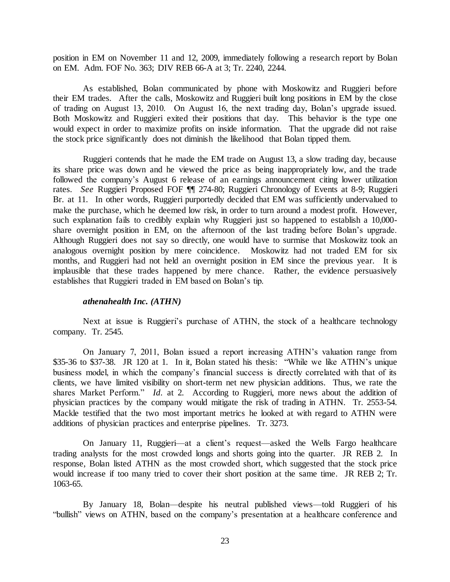position in EM on November 11 and 12, 2009, immediately following a research report by Bolan on EM. Adm. FOF No. 363; DIV REB 66-A at 3; Tr. 2240, 2244.

As established, Bolan communicated by phone with Moskowitz and Ruggieri before their EM trades. After the calls, Moskowitz and Ruggieri built long positions in EM by the close of trading on August 13, 2010. On August 16, the next trading day, Bolan's upgrade issued. Both Moskowitz and Ruggieri exited their positions that day. This behavior is the type one would expect in order to maximize profits on inside information. That the upgrade did not raise the stock price significantly does not diminish the likelihood that Bolan tipped them.

Ruggieri contends that he made the EM trade on August 13, a slow trading day, because its share price was down and he viewed the price as being inappropriately low, and the trade followed the company's August 6 release of an earnings announcement citing lower utilization rates. *See* Ruggieri Proposed FOF ¶¶ 274-80; Ruggieri Chronology of Events at 8-9; Ruggieri Br. at 11. In other words, Ruggieri purportedly decided that EM was sufficiently undervalued to make the purchase, which he deemed low risk, in order to turn around a modest profit. However, such explanation fails to credibly explain why Ruggieri just so happened to establish a 10,000 share overnight position in EM, on the afternoon of the last trading before Bolan's upgrade. Although Ruggieri does not say so directly, one would have to surmise that Moskowitz took an analogous overnight position by mere coincidence. Moskowitz had not traded EM for six months, and Ruggieri had not held an overnight position in EM since the previous year. It is implausible that these trades happened by mere chance. Rather, the evidence persuasively establishes that Ruggieri traded in EM based on Bolan's tip.

## *athenahealth Inc. (ATHN)*

Next at issue is Ruggieri's purchase of ATHN, the stock of a healthcare technology company. Tr. 2545.

On January 7, 2011, Bolan issued a report increasing ATHN's valuation range from \$35-36 to \$37-38. JR 120 at 1. In it, Bolan stated his thesis: "While we like ATHN's unique business model, in which the company's financial success is directly correlated with that of its clients, we have limited visibility on short-term net new physician additions. Thus, we rate the shares Market Perform." *Id.* at 2. According to Ruggieri, more news about the addition of physician practices by the company would mitigate the risk of trading in ATHN. Tr. 2553-54. Mackle testified that the two most important metrics he looked at with regard to ATHN were additions of physician practices and enterprise pipelines. Tr. 3273.

On January 11, Ruggieri—at a client's request—asked the Wells Fargo healthcare trading analysts for the most crowded longs and shorts going into the quarter. JR REB 2. In response, Bolan listed ATHN as the most crowded short, which suggested that the stock price would increase if too many tried to cover their short position at the same time. JR REB 2; Tr. 1063-65.

By January 18, Bolan—despite his neutral published views—told Ruggieri of his "bullish" views on ATHN, based on the company's presentation at a healthcare conference and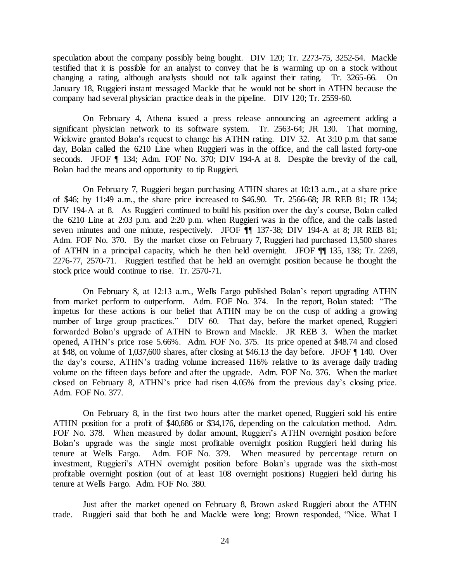speculation about the company possibly being bought. DIV 120; Tr. 2273-75, 3252-54. Mackle testified that it is possible for an analyst to convey that he is warming up on a stock without changing a rating, although analysts should not talk against their rating. Tr. 3265-66. On January 18, Ruggieri instant messaged Mackle that he would not be short in ATHN because the company had several physician practice deals in the pipeline. DIV 120; Tr. 2559-60.

On February 4, Athena issued a press release announcing an agreement adding a significant physician network to its software system. Tr. 2563-64; JR 130. That morning, Wickwire granted Bolan's request to change his ATHN rating. DIV 32. At 3:10 p.m. that same day, Bolan called the 6210 Line when Ruggieri was in the office, and the call lasted forty-one seconds. JFOF  $\P$  134; Adm. FOF No. 370; DIV 194-A at 8. Despite the brevity of the call, Bolan had the means and opportunity to tip Ruggieri.

On February 7, Ruggieri began purchasing ATHN shares at 10:13 a.m., at a share price of \$46; by 11:49 a.m., the share price increased to \$46.90. Tr. 2566-68; JR REB 81; JR 134; DIV 194-A at 8. As Ruggieri continued to build his position over the day's course, Bolan called the 6210 Line at 2:03 p.m. and 2:20 p.m. when Ruggieri was in the office, and the calls lasted seven minutes and one minute, respectively. JFOF  $\P$  137-38; DIV 194-A at 8; JR REB 81; Adm. FOF No. 370. By the market close on February 7, Ruggieri had purchased 13,500 shares of ATHN in a principal capacity, which he then held overnight. JFOF ¶¶ 135, 138; Tr. 2269, 2276-77, 2570-71. Ruggieri testified that he held an overnight position because he thought the stock price would continue to rise. Tr. 2570-71.

On February 8, at 12:13 a.m., Wells Fargo published Bolan's report upgrading ATHN from market perform to outperform. Adm. FOF No. 374. In the report, Bolan stated: "The impetus for these actions is our belief that ATHN may be on the cusp of adding a growing number of large group practices." DIV 60. That day, before the market opened, Ruggieri forwarded Bolan's upgrade of ATHN to Brown and Mackle. JR REB 3. When the market opened, ATHN's price rose 5.66%. Adm. FOF No. 375. Its price opened at \$48.74 and closed at \$48, on volume of 1,037,600 shares, after closing at \$46.13 the day before. JFOF ¶ 140. Over the day's course, ATHN's trading volume increased 116% relative to its average daily trading volume on the fifteen days before and after the upgrade. Adm. FOF No. 376. When the market closed on February 8, ATHN's price had risen 4.05% from the previous day's closing price. Adm. FOF No. 377.

On February 8, in the first two hours after the market opened, Ruggieri sold his entire ATHN position for a profit of \$40,686 or \$34,176, depending on the calculation method. Adm. FOF No. 378. When measured by dollar amount, Ruggieri's ATHN overnight position before Bolan's upgrade was the single most profitable overnight position Ruggieri held during his tenure at Wells Fargo. Adm. FOF No. 379. When measured by percentage return on investment, Ruggieri's ATHN overnight position before Bolan's upgrade was the sixth-most profitable overnight position (out of at least 108 overnight positions) Ruggieri held during his tenure at Wells Fargo. Adm. FOF No. 380.

Just after the market opened on February 8, Brown asked Ruggieri about the ATHN trade. Ruggieri said that both he and Mackle were long; Brown responded, "Nice. What I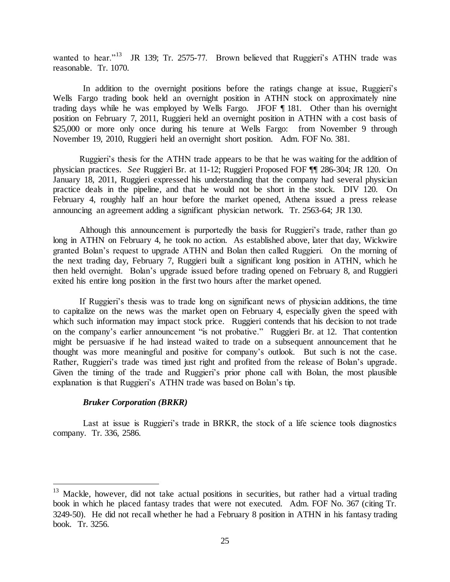wanted to hear."<sup>13</sup> JR 139; Tr. 2575-77. Brown believed that Ruggieri's ATHN trade was reasonable. Tr. 1070.

In addition to the overnight positions before the ratings change at issue, Ruggieri's Wells Fargo trading book held an overnight position in ATHN stock on approximately nine trading days while he was employed by Wells Fargo. JFOF ¶ 181. Other than his overnight position on February 7, 2011, Ruggieri held an overnight position in ATHN with a cost basis of \$25,000 or more only once during his tenure at Wells Fargo: from November 9 through November 19, 2010, Ruggieri held an overnight short position. Adm. FOF No. 381.

Ruggieri's thesis for the ATHN trade appears to be that he was waiting for the addition of physician practices. *See* Ruggieri Br. at 11-12; Ruggieri Proposed FOF ¶¶ 286-304; JR 120. On January 18, 2011, Ruggieri expressed his understanding that the company had several physician practice deals in the pipeline, and that he would not be short in the stock. DIV 120. On February 4, roughly half an hour before the market opened, Athena issued a press release announcing an agreement adding a significant physician network. Tr. 2563-64; JR 130.

Although this announcement is purportedly the basis for Ruggieri's trade, rather than go long in ATHN on February 4, he took no action. As established above, later that day, Wickwire granted Bolan's request to upgrade ATHN and Bolan then called Ruggieri. On the morning of the next trading day, February 7, Ruggieri built a significant long position in ATHN, which he then held overnight. Bolan's upgrade issued before trading opened on February 8, and Ruggieri exited his entire long position in the first two hours after the market opened.

If Ruggieri's thesis was to trade long on significant news of physician additions, the time to capitalize on the news was the market open on February 4, especially given the speed with which such information may impact stock price. Ruggieri contends that his decision to not trade on the company's earlier announcement "is not probative." Ruggieri Br. at 12. That contention might be persuasive if he had instead waited to trade on a subsequent announcement that he thought was more meaningful and positive for company's outlook. But such is not the case. Rather, Ruggieri's trade was timed just right and profited from the release of Bolan's upgrade. Given the timing of the trade and Ruggieri's prior phone call with Bolan, the most plausible explanation is that Ruggieri's ATHN trade was based on Bolan's tip.

## *Bruker Corporation (BRKR)*

l

Last at issue is Ruggieri's trade in BRKR, the stock of a life science tools diagnostics company. Tr. 336, 2586.

 $13$  Mackle, however, did not take actual positions in securities, but rather had a virtual trading book in which he placed fantasy trades that were not executed. Adm. FOF No. 367 (citing Tr. 3249-50). He did not recall whether he had a February 8 position in ATHN in his fantasy trading book. Tr. 3256.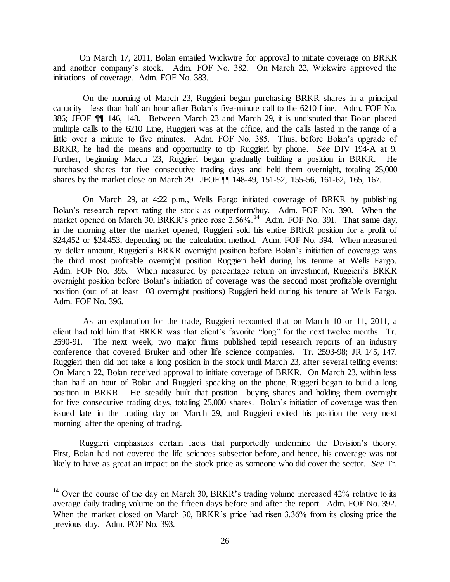On March 17, 2011, Bolan emailed Wickwire for approval to initiate coverage on BRKR and another company's stock. Adm. FOF No. 382. On March 22, Wickwire approved the initiations of coverage. Adm. FOF No. 383.

On the morning of March 23, Ruggieri began purchasing BRKR shares in a principal capacity—less than half an hour after Bolan's five-minute call to the 6210 Line. Adm. FOF No. 386; JFOF ¶¶ 146, 148. Between March 23 and March 29, it is undisputed that Bolan placed multiple calls to the 6210 Line, Ruggieri was at the office, and the calls lasted in the range of a little over a minute to five minutes. Adm. FOF No. 385. Thus, before Bolan's upgrade of BRKR, he had the means and opportunity to tip Ruggieri by phone. *See* DIV 194-A at 9. Further, beginning March 23, Ruggieri began gradually building a position in BRKR. He purchased shares for five consecutive trading days and held them overnight, totaling 25,000 shares by the market close on March 29. JFOF ¶¶ 148-49, 151-52, 155-56, 161-62, 165, 167.

On March 29, at 4:22 p.m., Wells Fargo initiated coverage of BRKR by publishing Bolan's research report rating the stock as outperform/buy. Adm. FOF No. 390. When the market opened on March 30, BRKR's price rose 2.56%.<sup>14</sup> Adm. FOF No. 391. That same day, in the morning after the market opened, Ruggieri sold his entire BRKR position for a profit of \$24,452 or \$24,453, depending on the calculation method. Adm. FOF No. 394. When measured by dollar amount, Ruggieri's BRKR overnight position before Bolan's initiation of coverage was the third most profitable overnight position Ruggieri held during his tenure at Wells Fargo. Adm. FOF No. 395. When measured by percentage return on investment, Ruggieri's BRKR overnight position before Bolan's initiation of coverage was the second most profitable overnight position (out of at least 108 overnight positions) Ruggieri held during his tenure at Wells Fargo. Adm. FOF No. 396.

As an explanation for the trade, Ruggieri recounted that on March 10 or 11, 2011, a client had told him that BRKR was that client's favorite "long" for the next twelve months. Tr. 2590-91. The next week, two major firms published tepid research reports of an industry conference that covered Bruker and other life science companies. Tr. 2593-98; JR 145, 147. Ruggieri then did not take a long position in the stock until March 23, after several telling events: On March 22, Bolan received approval to initiate coverage of BRKR. On March 23, within less than half an hour of Bolan and Ruggieri speaking on the phone, Ruggeri began to build a long position in BRKR. He steadily built that position—buying shares and holding them overnight for five consecutive trading days, totaling 25,000 shares. Bolan's initiation of coverage was then issued late in the trading day on March 29, and Ruggieri exited his position the very next morning after the opening of trading.

Ruggieri emphasizes certain facts that purportedly undermine the Division's theory. First, Bolan had not covered the life sciences subsector before, and hence, his coverage was not likely to have as great an impact on the stock price as someone who did cover the sector. *See* Tr.

 $14$  Over the course of the day on March 30, BRKR's trading volume increased 42% relative to its average daily trading volume on the fifteen days before and after the report. Adm. FOF No. 392. When the market closed on March 30, BRKR's price had risen 3.36% from its closing price the previous day. Adm. FOF No. 393.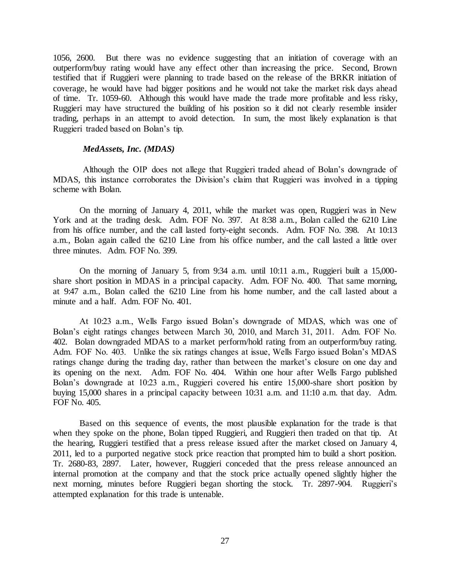1056, 2600. But there was no evidence suggesting that an initiation of coverage with an outperform/buy rating would have any effect other than increasing the price. Second, Brown testified that if Ruggieri were planning to trade based on the release of the BRKR initiation of coverage, he would have had bigger positions and he would not take the market risk days ahead of time. Tr. 1059-60. Although this would have made the trade more profitable and less risky, Ruggieri may have structured the building of his position so it did not clearly resemble insider trading, perhaps in an attempt to avoid detection. In sum, the most likely explanation is that Ruggieri traded based on Bolan's tip.

#### *MedAssets, Inc. (MDAS)*

Although the OIP does not allege that Ruggieri traded ahead of Bolan's downgrade of MDAS, this instance corroborates the Division's claim that Ruggieri was involved in a tipping scheme with Bolan.

On the morning of January 4, 2011, while the market was open, Ruggieri was in New York and at the trading desk. Adm. FOF No. 397. At 8:38 a.m., Bolan called the 6210 Line from his office number, and the call lasted forty-eight seconds. Adm. FOF No. 398. At 10:13 a.m., Bolan again called the 6210 Line from his office number, and the call lasted a little over three minutes. Adm. FOF No. 399.

On the morning of January 5, from 9:34 a.m. until 10:11 a.m., Ruggieri built a 15,000 share short position in MDAS in a principal capacity. Adm. FOF No. 400. That same morning, at 9:47 a.m., Bolan called the 6210 Line from his home number, and the call lasted about a minute and a half. Adm. FOF No. 401.

At 10:23 a.m., Wells Fargo issued Bolan's downgrade of MDAS, which was one of Bolan's eight ratings changes between March 30, 2010, and March 31, 2011. Adm. FOF No. 402. Bolan downgraded MDAS to a market perform/hold rating from an outperform/buy rating. Adm. FOF No. 403. Unlike the six ratings changes at issue, Wells Fargo issued Bolan's MDAS ratings change during the trading day, rather than between the market's closure on one day and its opening on the next. Adm. FOF No. 404. Within one hour after Wells Fargo published Bolan's downgrade at 10:23 a.m., Ruggieri covered his entire 15,000-share short position by buying 15,000 shares in a principal capacity between 10:31 a.m. and 11:10 a.m. that day. Adm. FOF No. 405.

Based on this sequence of events, the most plausible explanation for the trade is that when they spoke on the phone, Bolan tipped Ruggieri, and Ruggieri then traded on that tip. At the hearing, Ruggieri testified that a press release issued after the market closed on January 4, 2011, led to a purported negative stock price reaction that prompted him to build a short position. Tr. 2680-83, 2897. Later, however, Ruggieri conceded that the press release announced an internal promotion at the company and that the stock price actually opened slightly higher the next morning, minutes before Ruggieri began shorting the stock. Tr. 2897-904. Ruggieri's attempted explanation for this trade is untenable.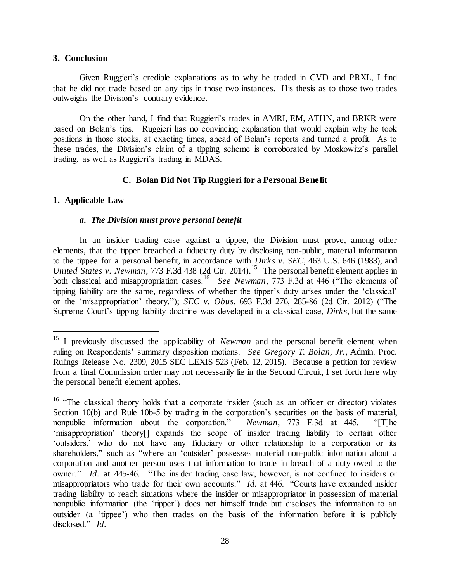## **3. Conclusion**

Given Ruggieri's credible explanations as to why he traded in CVD and PRXL, I find that he did not trade based on any tips in those two instances. His thesis as to those two trades outweighs the Division's contrary evidence.

On the other hand, I find that Ruggieri's trades in AMRI, EM, ATHN, and BRKR were based on Bolan's tips. Ruggieri has no convincing explanation that would explain why he took positions in those stocks, at exacting times, ahead of Bolan's reports and turned a profit. As to these trades, the Division's claim of a tipping scheme is corroborated by Moskowitz's parallel trading, as well as Ruggieri's trading in MDAS.

# **C. Bolan Did Not Tip Ruggieri for a Personal Benefit**

# **1. Applicable Law**

l

# *a. The Division must prove personal benefit*

In an insider trading case against a tippee, the Division must prove, among other elements, that the tipper breached a fiduciary duty by disclosing non-public, material information to the tippee for a personal benefit, in accordance with *Dirks v. SEC*, 463 U.S. 646 (1983), and United States v. Newman, 773 F.3d 438 (2d Cir. 2014).<sup>15</sup> The personal benefit element applies in both classical and misappropriation cases.<sup>16</sup> See Newman, 773 F.3d at 446 ("The elements of tipping liability are the same, regardless of whether the tipper's duty arises under the 'classical' or the 'misappropriation' theory."); *SEC v. Obus*, 693 F.3d 276, 285-86 (2d Cir. 2012) ("The Supreme Court's tipping liability doctrine was developed in a classical case, *Dirks*, but the same

<sup>&</sup>lt;sup>15</sup> I previously discussed the applicability of *Newman* and the personal benefit element when ruling on Respondents' summary disposition motions. *See Gregory T. Bolan, Jr.*, Admin. Proc. Rulings Release No. 2309, 2015 SEC LEXIS 523 (Feb. 12, 2015). Because a petition for review from a final Commission order may not necessarily lie in the Second Circuit, I set forth here why the personal benefit element applies.

<sup>&</sup>lt;sup>16</sup> "The classical theory holds that a corporate insider (such as an officer or director) violates Section 10(b) and Rule 10b-5 by trading in the corporation's securities on the basis of material, nonpublic information about the corporation." *Newman*, 773 F.3d at 445. "[T]he 'misappropriation' theory[] expands the scope of insider trading liability to certain other 'outsiders,' who do not have any fiduciary or other relationship to a corporation or its shareholders," such as "where an 'outsider' possesses material non-public information about a corporation and another person uses that information to trade in breach of a duty owed to the owner." *Id.* at 445-46. "The insider trading case law, however, is not confined to insiders or misappropriators who trade for their own accounts." *Id.* at 446. "Courts have expanded insider trading liability to reach situations where the insider or misappropriator in possession of material nonpublic information (the 'tipper') does not himself trade but discloses the information to an outsider (a 'tippee') who then trades on the basis of the information before it is publicly disclosed." *Id.*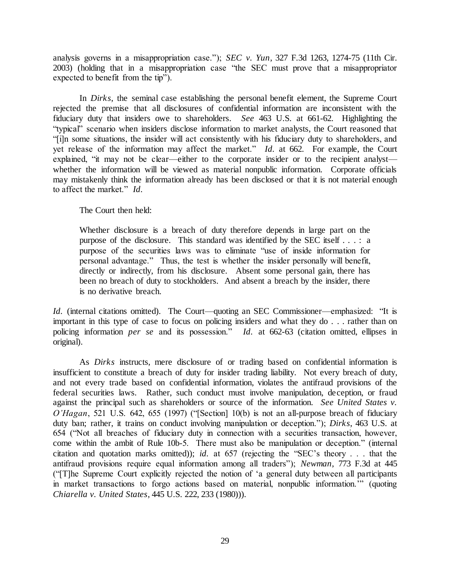analysis governs in a misappropriation case."); *SEC v. Yun*, 327 F.3d 1263, 1274-75 (11th Cir. 2003) (holding that in a misappropriation case "the SEC must prove that a misappropriator expected to benefit from the tip").

In *Dirks*, the seminal case establishing the personal benefit element, the Supreme Court rejected the premise that all disclosures of confidential information are inconsistent with the fiduciary duty that insiders owe to shareholders. *See* 463 U.S. at 661-62. Highlighting the "typical" scenario when insiders disclose information to market analysts, the Court reasoned that "[i]n some situations, the insider will act consistently with his fiduciary duty to shareholders, and yet release of the information may affect the market." *Id.* at 662. For example, the Court explained, "it may not be clear—either to the corporate insider or to the recipient analyst whether the information will be viewed as material nonpublic information. Corporate officials may mistakenly think the information already has been disclosed or that it is not material enough to affect the market." *Id.*

The Court then held:

Whether disclosure is a breach of duty therefore depends in large part on the purpose of the disclosure. This standard was identified by the SEC itself . . . : a purpose of the securities laws was to eliminate "use of inside information for personal advantage." Thus, the test is whether the insider personally will benefit, directly or indirectly, from his disclosure. Absent some personal gain, there has been no breach of duty to stockholders. And absent a breach by the insider, there is no derivative breach.

*Id.* (internal citations omitted). The Court—quoting an SEC Commissioner—emphasized: "It is important in this type of case to focus on policing insiders and what they do . . . rather than on policing information *per se* and its possession." *Id.* at 662-63 (citation omitted, ellipses in original).

As *Dirks* instructs, mere disclosure of or trading based on confidential information is insufficient to constitute a breach of duty for insider trading liability. Not every breach of duty, and not every trade based on confidential information, violates the antifraud provisions of the federal securities laws. Rather, such conduct must involve manipulation, deception, or fraud against the principal such as shareholders or source of the information. *See United States v. O'Hagan*, 521 U.S. 642, 655 (1997) ("[Section] 10(b) is not an all-purpose breach of fiduciary duty ban; rather, it trains on conduct involving manipulation or deception."); *Dirks*, 463 U.S. at 654 ("Not all breaches of fiduciary duty in connection with a securities transaction, however, come within the ambit of Rule 10b-5. There must also be manipulation or deception." (internal citation and quotation marks omitted)); *id.* at 657 (rejecting the "SEC's theory . . . that the antifraud provisions require equal information among all traders"); *Newman*, 773 F.3d at 445 ("[T]he Supreme Court explicitly rejected the notion of 'a general duty between all participants in market transactions to forgo actions based on material, nonpublic information.'" (quoting *Chiarella v. United States*, 445 U.S. 222, 233 (1980))).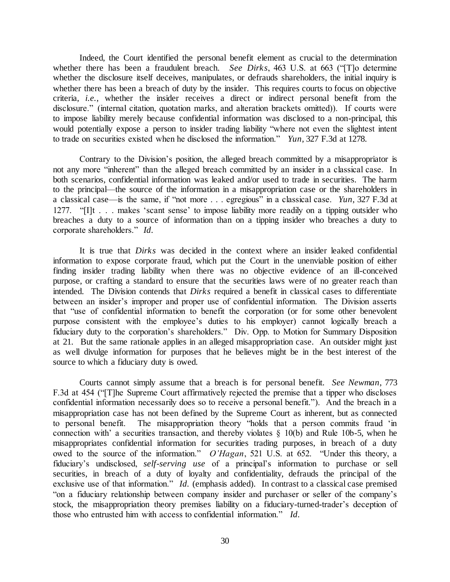Indeed, the Court identified the personal benefit element as crucial to the determination whether there has been a fraudulent breach. *See Dirks*, 463 U.S. at 663 ("[T]o determine whether the disclosure itself deceives, manipulates, or defrauds shareholders, the initial inquiry is whether there has been a breach of duty by the insider. This requires courts to focus on objective criteria, *i.e.*, whether the insider receives a direct or indirect personal benefit from the disclosure." (internal citation, quotation marks, and alteration brackets omitted)). If courts were to impose liability merely because confidential information was disclosed to a non-principal, this would potentially expose a person to insider trading liability "where not even the slightest intent to trade on securities existed when he disclosed the information." *Yun*, 327 F.3d at 1278.

Contrary to the Division's position, the alleged breach committed by a misappropriator is not any more "inherent" than the alleged breach committed by an insider in a classical case. In both scenarios, confidential information was leaked and/or used to trade in securities. The harm to the principal—the source of the information in a misappropriation case or the shareholders in a classical case—is the same, if "not more . . . egregious" in a classical case. *Yun*, 327 F.3d at 1277. "[I]t . . . makes 'scant sense' to impose liability more readily on a tipping outsider who breaches a duty to a source of information than on a tipping insider who breaches a duty to corporate shareholders." *Id.*

It is true that *Dirks* was decided in the context where an insider leaked confidential information to expose corporate fraud, which put the Court in the unenviable position of either finding insider trading liability when there was no objective evidence of an ill-conceived purpose, or crafting a standard to ensure that the securities laws were of no greater reach than intended. The Division contends that *Dirks* required a benefit in classical cases to differentiate between an insider's improper and proper use of confidential information. The Division asserts that "use of confidential information to benefit the corporation (or for some other benevolent purpose consistent with the employee's duties to his employer) cannot logically breach a fiduciary duty to the corporation's shareholders." Div. Opp. to Motion for Summary Disposition at 21. But the same rationale applies in an alleged misappropriation case. An outsider might just as well divulge information for purposes that he believes might be in the best interest of the source to which a fiduciary duty is owed.

Courts cannot simply assume that a breach is for personal benefit. *See Newman*, 773 F.3d at 454 ("[T]he Supreme Court affirmatively rejected the premise that a tipper who discloses confidential information necessarily does so to receive a personal benefit."). And the breach in a misappropriation case has not been defined by the Supreme Court as inherent, but as connected to personal benefit. The misappropriation theory "holds that a person commits fraud 'in connection with' a securities transaction, and thereby violates  $\S$  10(b) and Rule 10b-5, when he misappropriates confidential information for securities trading purposes, in breach of a duty owed to the source of the information." *O'Hagan*, 521 U.S. at 652. "Under this theory, a fiduciary's undisclosed, *self-serving use* of a principal's information to purchase or sell securities, in breach of a duty of loyalty and confidentiality, defrauds the principal of the exclusive use of that information." *Id.* (emphasis added). In contrast to a classical case premised "on a fiduciary relationship between company insider and purchaser or seller of the company's stock, the misappropriation theory premises liability on a fiduciary-turned-trader's deception of those who entrusted him with access to confidential information." *Id.*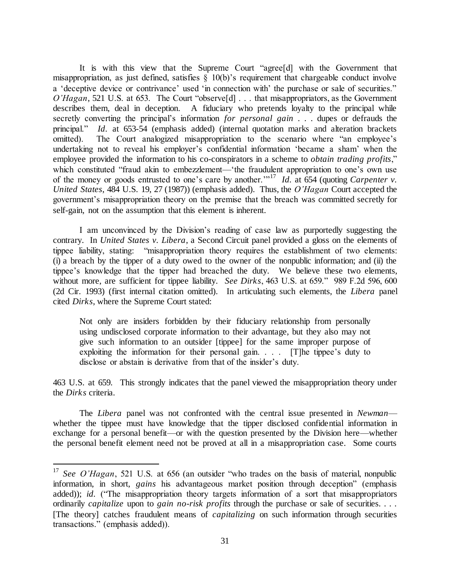It is with this view that the Supreme Court "agree[d] with the Government that misappropriation, as just defined, satisfies  $\S$  10(b)'s requirement that chargeable conduct involve a 'deceptive device or contrivance' used 'in connection with' the purchase or sale of securities." *O'Hagan*, 521 U.S. at 653. The Court "observe<sup>[d]</sup> . . . that misappropriators, as the Government describes them, deal in deception. A fiduciary who pretends loyalty to the principal while secretly converting the principal's information *for personal gain* . . . dupes or defrauds the principal." *Id.* at 653-54 (emphasis added) (internal quotation marks and alteration brackets omitted). The Court analogized misappropriation to the scenario where "an employee's undertaking not to reveal his employer's confidential information 'became a sham' when the employee provided the information to his co-conspirators in a scheme to *obtain trading profits*," which constituted "fraud akin to embezzlement—'the fraudulent appropriation to one's own use of the money or goods entrusted to one's care by another.<sup>"" *Id.* at 654 (quoting *Carpenter v.*</sup> *United States*, 484 U.S. 19, 27 (1987)) (emphasis added). Thus, the *O'Hagan* Court accepted the government's misappropriation theory on the premise that the breach was committed secretly for self-gain, not on the assumption that this element is inherent.

I am unconvinced by the Division's reading of case law as purportedly suggesting the contrary. In *United States v. Libera*, a Second Circuit panel provided a gloss on the elements of tippee liability, stating: "misappropriation theory requires the establishment of two elements: (i) a breach by the tipper of a duty owed to the owner of the nonpublic information; and (ii) the tippee's knowledge that the tipper had breached the duty. We believe these two elements, without more, are sufficient for tippee liability. *See Dirks*, 463 U.S. at 659." 989 F.2d 596, 600 (2d Cir. 1993) (first internal citation omitted). In articulating such elements, the *Libera* panel cited *Dirks*, where the Supreme Court stated:

Not only are insiders forbidden by their fiduciary relationship from personally using undisclosed corporate information to their advantage, but they also may not give such information to an outsider [tippee] for the same improper purpose of exploiting the information for their personal gain. . . . [T]he tippee's duty to disclose or abstain is derivative from that of the insider's duty.

463 U.S. at 659. This strongly indicates that the panel viewed the misappropriation theory under the *Dirks* criteria.

The *Libera* panel was not confronted with the central issue presented in *Newman* whether the tippee must have knowledge that the tipper disclosed confidential information in exchange for a personal benefit—or with the question presented by the Division here—whether the personal benefit element need not be proved at all in a misappropriation case. Some courts

<sup>&</sup>lt;sup>17</sup> *See O'Hagan*, 521 U.S. at 656 (an outsider "who trades on the basis of material, nonpublic information, in short, *gains* his advantageous market position through deception" (emphasis added)); *id.* ("The misappropriation theory targets information of a sort that misappropriators ordinarily *capitalize* upon to *gain no-risk profits* through the purchase or sale of securities. . . . [The theory] catches fraudulent means of *capitalizing* on such information through securities transactions." (emphasis added)).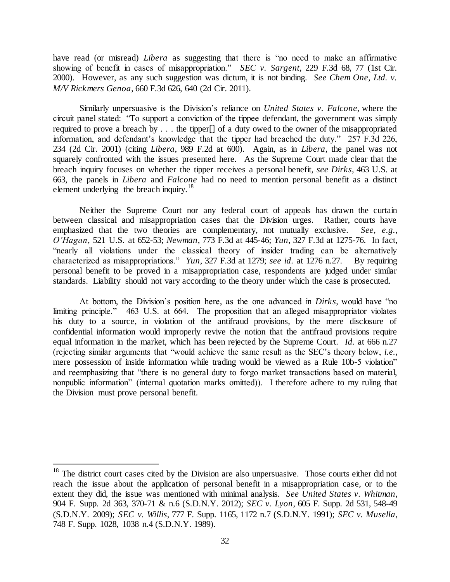have read (or misread) *Libera* as suggesting that there is "no need to make an affirmative showing of benefit in cases of misappropriation." *SEC v. Sargent*, 229 F.3d 68, 77 (1st Cir. 2000). However, as any such suggestion was dictum, it is not binding. *See Chem One, Ltd. v. M/V Rickmers Genoa*, 660 F.3d 626, 640 (2d Cir. 2011).

Similarly unpersuasive is the Division's reliance on *United States v. Falcone*, where the circuit panel stated: "To support a conviction of the tippee defendant, the government was simply required to prove a breach by . . . the tipper[] of a duty owed to the owner of the misappropriated information, and defendant's knowledge that the tipper had breached the duty." 257 F.3d 226, 234 (2d Cir. 2001) (citing *Libera*, 989 F.2d at 600). Again, as in *Libera*, the panel was not squarely confronted with the issues presented here. As the Supreme Court made clear that the breach inquiry focuses on whether the tipper receives a personal benefit, *see Dirks*, 463 U.S. at 663, the panels in *Libera* and *Falcone* had no need to mention personal benefit as a distinct element underlying the breach inquiry. $18$ 

Neither the Supreme Court nor any federal court of appeals has drawn the curtain between classical and misappropriation cases that the Division urges. Rather, courts have emphasized that the two theories are complementary, not mutually exclusive. *See, e.g.*, *O'Hagan*, 521 U.S. at 652-53; *Newman*, 773 F.3d at 445-46; *Yun*, 327 F.3d at 1275-76. In fact, "nearly all violations under the classical theory of insider trading can be alternatively characterized as misappropriations." *Yun*, 327 F.3d at 1279; *see id.* at 1276 n.27. By requiring personal benefit to be proved in a misappropriation case, respondents are judged under similar standards. Liability should not vary according to the theory under which the case is prosecuted.

At bottom, the Division's position here, as the one advanced in *Dirks*, would have "no limiting principle." 463 U.S. at 664. The proposition that an alleged misappropriator violates his duty to a source, in violation of the antifraud provisions, by the mere disclosure of confidential information would improperly revive the notion that the antifraud provisions require equal information in the market, which has been rejected by the Supreme Court. *Id.* at 666 n.27 (rejecting similar arguments that "would achieve the same result as the SEC's theory below, *i.e.*, mere possession of inside information while trading would be viewed as a Rule 10b-5 violation" and reemphasizing that "there is no general duty to forgo market transactions based on material, nonpublic information" (internal quotation marks omitted)). I therefore adhere to my ruling that the Division must prove personal benefit.

 $18$  The district court cases cited by the Division are also unpersuasive. Those courts either did not reach the issue about the application of personal benefit in a misappropriation case, or to the extent they did, the issue was mentioned with minimal analysis. *See United States v. Whitman*, 904 F. Supp. 2d 363, 370-71 & n.6 (S.D.N.Y. 2012); *SEC v. Lyon*, 605 F. Supp. 2d 531, 548-49 (S.D.N.Y. 2009); *SEC v. Willis*, 777 F. Supp. 1165, 1172 n.7 (S.D.N.Y. 1991); *SEC v. Musella*, 748 F. Supp. 1028, 1038 n.4 (S.D.N.Y. 1989).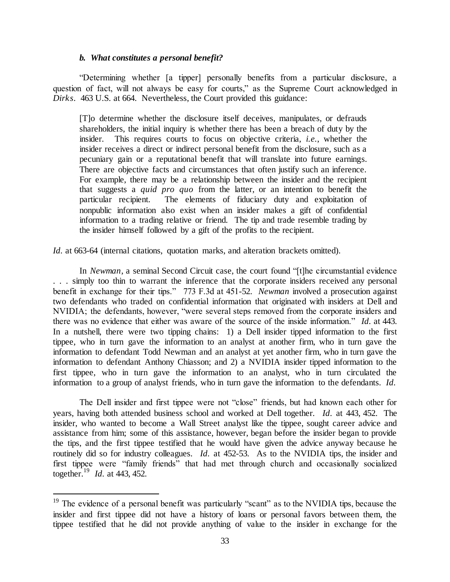### *b. What constitutes a personal benefit?*

"Determining whether [a tipper] personally benefits from a particular disclosure, a question of fact, will not always be easy for courts," as the Supreme Court acknowledged in *Dirks*. 463 U.S. at 664. Nevertheless, the Court provided this guidance:

[T]o determine whether the disclosure itself deceives, manipulates, or defrauds shareholders, the initial inquiry is whether there has been a breach of duty by the insider. This requires courts to focus on objective criteria, *i.e.*, whether the insider receives a direct or indirect personal benefit from the disclosure, such as a pecuniary gain or a reputational benefit that will translate into future earnings. There are objective facts and circumstances that often justify such an inference. For example, there may be a relationship between the insider and the recipient that suggests a *quid pro quo* from the latter, or an intention to benefit the particular recipient. The elements of fiduciary duty and exploitation of nonpublic information also exist when an insider makes a gift of confidential information to a trading relative or friend. The tip and trade resemble trading by the insider himself followed by a gift of the profits to the recipient.

*Id.* at 663-64 (internal citations, quotation marks, and alteration brackets omitted).

In *Newman*, a seminal Second Circuit case, the court found "[t]he circumstantial evidence . . . simply too thin to warrant the inference that the corporate insiders received any personal benefit in exchange for their tips." 773 F.3d at 451-52. *Newman* involved a prosecution against two defendants who traded on confidential information that originated with insiders at Dell and NVIDIA; the defendants, however, "were several steps removed from the corporate insiders and there was no evidence that either was aware of the source of the inside information." *Id.* at 443. In a nutshell, there were two tipping chains: 1) a Dell insider tipped information to the first tippee, who in turn gave the information to an analyst at another firm, who in turn gave the information to defendant Todd Newman and an analyst at yet another firm, who in turn gave the information to defendant Anthony Chiasson; and 2) a NVIDIA insider tipped information to the first tippee, who in turn gave the information to an analyst, who in turn circulated the information to a group of analyst friends, who in turn gave the information to the defendants. *Id.*

The Dell insider and first tippee were not "close" friends, but had known each other for years, having both attended business school and worked at Dell together. *Id.* at 443, 452. The insider, who wanted to become a Wall Street analyst like the tippee, sought career advice and assistance from him; some of this assistance, however, began before the insider began to provide the tips, and the first tippee testified that he would have given the advice anyway because he routinely did so for industry colleagues. *Id.* at 452-53. As to the NVIDIA tips, the insider and first tippee were "family friends" that had met through church and occasionally socialized together.<sup>19</sup> *Id.* at 443, 452.

 $19$  The evidence of a personal benefit was particularly "scant" as to the NVIDIA tips, because the insider and first tippee did not have a history of loans or personal favors between them, the tippee testified that he did not provide anything of value to the insider in exchange for the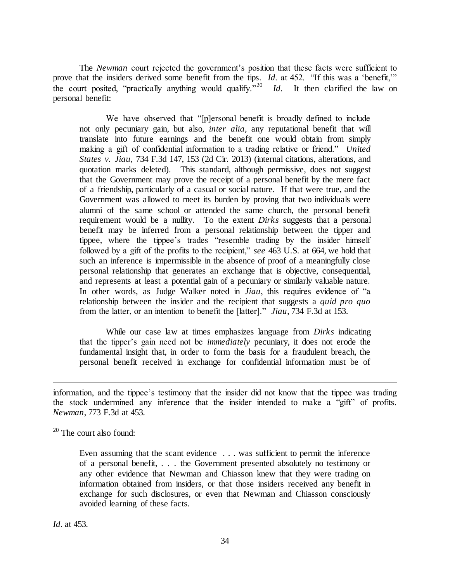The *Newman* court rejected the government's position that these facts were sufficient to prove that the insiders derived some benefit from the tips. *Id.* at 452. "If this was a 'benefit," the court posited, "practically anything would qualify."<sup>20</sup> *Id*. It then clarified the law on personal benefit:

We have observed that "[p]ersonal benefit is broadly defined to include not only pecuniary gain, but also, *inter alia*, any reputational benefit that will translate into future earnings and the benefit one would obtain from simply making a gift of confidential information to a trading relative or friend." *United States v. Jiau*, 734 F.3d 147, 153 (2d Cir. 2013) (internal citations, alterations, and quotation marks deleted). This standard, although permissive, does not suggest that the Government may prove the receipt of a personal benefit by the mere fact of a friendship, particularly of a casual or social nature. If that were true, and the Government was allowed to meet its burden by proving that two individuals were alumni of the same school or attended the same church, the personal benefit requirement would be a nullity. To the extent *Dirks* suggests that a personal benefit may be inferred from a personal relationship between the tipper and tippee, where the tippee's trades "resemble trading by the insider himself followed by a gift of the profits to the recipient," *see* 463 U.S. at 664, we hold that such an inference is impermissible in the absence of proof of a meaningfully close personal relationship that generates an exchange that is objective, consequential, and represents at least a potential gain of a pecuniary or similarly valuable nature. In other words, as Judge Walker noted in *Jiau*, this requires evidence of "a relationship between the insider and the recipient that suggests a *quid pro quo* from the latter, or an intention to benefit the [latter]." *Jiau*, 734 F.3d at 153.

While our case law at times emphasizes language from *Dirks* indicating that the tipper's gain need not be *immediately* pecuniary, it does not erode the fundamental insight that, in order to form the basis for a fraudulent breach, the personal benefit received in exchange for confidential information must be of

information, and the tippee's testimony that the insider did not know that the tippee was trading the stock undermined any inference that the insider intended to make a "gift" of profits. *Newman*, 773 F.3d at 453.

 $20$  The court also found:

Even assuming that the scant evidence . . . was sufficient to permit the inference of a personal benefit, . . . the Government presented absolutely no testimony or any other evidence that Newman and Chiasson knew that they were trading on information obtained from insiders, or that those insiders received any benefit in exchange for such disclosures, or even that Newman and Chiasson consciously avoided learning of these facts.

*Id.* at 453.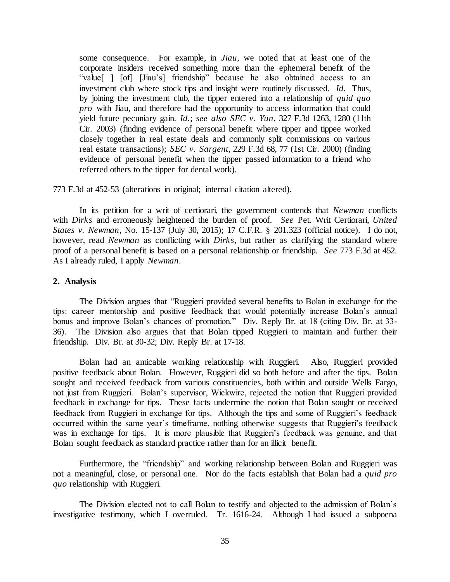some consequence. For example, in *Jiau*, we noted that at least one of the corporate insiders received something more than the ephemeral benefit of the "value[ ] [of] [Jiau's] friendship" because he also obtained access to an investment club where stock tips and insight were routinely discussed. *Id.* Thus, by joining the investment club, the tipper entered into a relationship of *quid quo pro* with Jiau, and therefore had the opportunity to access information that could yield future pecuniary gain. *Id.*; *see also SEC v. Yun*, 327 F.3d 1263, 1280 (11th Cir. 2003) (finding evidence of personal benefit where tipper and tippee worked closely together in real estate deals and commonly split commissions on various real estate transactions); *SEC v. Sargent*, 229 F.3d 68, 77 (1st Cir. 2000) (finding evidence of personal benefit when the tipper passed information to a friend who referred others to the tipper for dental work).

773 F.3d at 452-53 (alterations in original; internal citation altered).

In its petition for a writ of certiorari, the government contends that *Newman* conflicts with *Dirks* and erroneously heightened the burden of proof. *See* Pet. Writ Certiorari, *United States v. Newman*, No. 15-137 (July 30, 2015); 17 C.F.R. § 201.323 (official notice). I do not, however, read *Newman* as conflicting with *Dirks*, but rather as clarifying the standard where proof of a personal benefit is based on a personal relationship or friendship. *See* 773 F.3d at 452. As I already ruled, I apply *Newman*.

#### **2. Analysis**

The Division argues that "Ruggieri provided several benefits to Bolan in exchange for the tips: career mentorship and positive feedback that would potentially increase Bolan's annual bonus and improve Bolan's chances of promotion." Div. Reply Br. at 18 (citing Div. Br. at 33-36). The Division also argues that that Bolan tipped Ruggieri to maintain and further their friendship. Div. Br. at 30-32; Div. Reply Br. at 17-18.

Bolan had an amicable working relationship with Ruggieri. Also, Ruggieri provided positive feedback about Bolan. However, Ruggieri did so both before and after the tips. Bolan sought and received feedback from various constituencies, both within and outside Wells Fargo, not just from Ruggieri. Bolan's supervisor, Wickwire, rejected the notion that Ruggieri provided feedback in exchange for tips. These facts undermine the notion that Bolan sought or received feedback from Ruggieri in exchange for tips. Although the tips and some of Ruggieri's feedback occurred within the same year's timeframe, nothing otherwise suggests that Ruggieri's feedback was in exchange for tips. It is more plausible that Ruggieri's feedback was genuine, and that Bolan sought feedback as standard practice rather than for an illicit benefit.

Furthermore, the "friendship" and working relationship between Bolan and Ruggieri was not a meaningful, close, or personal one. Nor do the facts establish that Bolan had a *quid pro quo* relationship with Ruggieri.

The Division elected not to call Bolan to testify and objected to the admission of Bolan's investigative testimony, which I overruled. Tr. 1616-24. Although I had issued a subpoena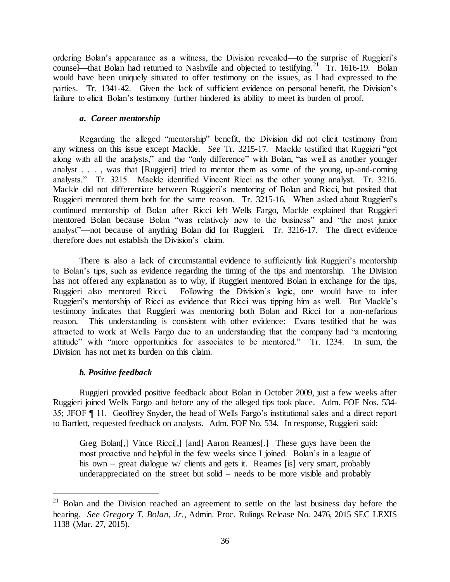ordering Bolan's appearance as a witness, the Division revealed—to the surprise of Ruggieri's counsel—that Bolan had returned to Nashville and objected to testifying.<sup>21</sup> Tr. 1616-19. Bolan would have been uniquely situated to offer testimony on the issues, as I had expressed to the parties. Tr. 1341-42. Given the lack of sufficient evidence on personal benefit, the Division's failure to elicit Bolan's testimony further hindered its ability to meet its burden of proof.

## *a. Career mentorship*

Regarding the alleged "mentorship" benefit, the Division did not elicit testimony from any witness on this issue except Mackle. *See* Tr. 3215-17. Mackle testified that Ruggieri "got along with all the analysts," and the "only difference" with Bolan, "as well as another younger analyst . . . , was that [Ruggieri] tried to mentor them as some of the young, up-and-coming analysts." Tr. 3215. Mackle identified Vincent Ricci as the other young analyst. Tr. 3216. Mackle did not differentiate between Ruggieri's mentoring of Bolan and Ricci, but posited that Ruggieri mentored them both for the same reason. Tr. 3215-16. When asked about Ruggieri's continued mentorship of Bolan after Ricci left Wells Fargo, Mackle explained that Ruggieri mentored Bolan because Bolan "was relatively new to the business" and "the most junior analyst"—not because of anything Bolan did for Ruggieri. Tr. 3216-17. The direct evidence therefore does not establish the Division's claim.

There is also a lack of circumstantial evidence to sufficiently link Ruggieri's mentorship to Bolan's tips, such as evidence regarding the timing of the tips and mentorship. The Division has not offered any explanation as to why, if Ruggieri mentored Bolan in exchange for the tips, Ruggieri also mentored Ricci. Following the Division's logic, one would have to infer Ruggieri's mentorship of Ricci as evidence that Ricci was tipping him as well. But Mackle's testimony indicates that Ruggieri was mentoring both Bolan and Ricci for a non-nefarious reason. This understanding is consistent with other evidence: Evans testified that he was attracted to work at Wells Fargo due to an understanding that the company had "a mentoring attitude" with "more opportunities for associates to be mentored." Tr. 1234. In sum, the Division has not met its burden on this claim.

# *b. Positive feedback*

l

Ruggieri provided positive feedback about Bolan in October 2009, just a few weeks after Ruggieri joined Wells Fargo and before any of the alleged tips took place. Adm. FOF Nos. 534- 35; JFOF ¶ 11. Geoffrey Snyder, the head of Wells Fargo's institutional sales and a direct report to Bartlett, requested feedback on analysts. Adm. FOF No. 534. In response, Ruggieri said:

Greg Bolan<sup>[1]</sup>, Vince Ricci<sup>[1]</sup>, [and] Aaron Reames<sup>[1]</sup>. These guys have been the most proactive and helpful in the few weeks since I joined. Bolan's in a league of his own – great dialogue w/ clients and gets it. Reames [is] very smart, probably underappreciated on the street but solid – needs to be more visible and probably

 $21$  Bolan and the Division reached an agreement to settle on the last business day before the hearing. *See Gregory T. Bolan, Jr.*, Admin. Proc. Rulings Release No. 2476, 2015 SEC LEXIS 1138 (Mar. 27, 2015).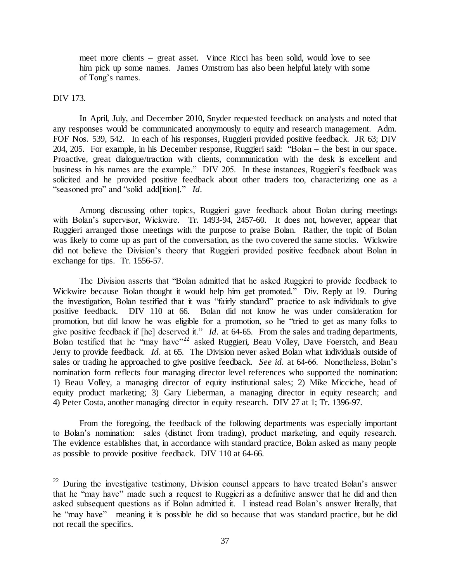meet more clients – great asset. Vince Ricci has been solid, would love to see him pick up some names. James Omstrom has also been helpful lately with some of Tong's names.

DIV 173.

l

In April, July, and December 2010, Snyder requested feedback on analysts and noted that any responses would be communicated anonymously to equity and research management. Adm. FOF Nos. 539, 542. In each of his responses, Ruggieri provided positive feedback. JR 63; DIV 204, 205. For example, in his December response, Ruggieri said: "Bolan – the best in our space. Proactive, great dialogue/traction with clients, communication with the desk is excellent and business in his names are the example." DIV 205. In these instances, Ruggieri's feedback was solicited and he provided positive feedback about other traders too, characterizing one as a "seasoned pro" and "solid add[ition]." *Id.*

Among discussing other topics, Ruggieri gave feedback about Bolan during meetings with Bolan's supervisor, Wickwire. Tr. 1493-94, 2457-60. It does not, however, appear that Ruggieri arranged those meetings with the purpose to praise Bolan. Rather, the topic of Bolan was likely to come up as part of the conversation, as the two covered the same stocks. Wickwire did not believe the Division's theory that Ruggieri provided positive feedback about Bolan in exchange for tips. Tr. 1556-57.

The Division asserts that "Bolan admitted that he asked Ruggieri to provide feedback to Wickwire because Bolan thought it would help him get promoted." Div. Reply at 19. During the investigation, Bolan testified that it was "fairly standard" practice to ask individuals to give positive feedback. DIV 110 at 66. Bolan did not know he was under consideration for promotion, but did know he was eligible for a promotion, so he "tried to get as many folks to give positive feedback if [he] deserved it." *Id.* at 64-65. From the sales and trading departments, Bolan testified that he "may have"<sup>22</sup> asked Ruggieri, Beau Volley, Dave Foerstch, and Beau Jerry to provide feedback. *Id.* at 65. The Division never asked Bolan what individuals outside of sales or trading he approached to give positive feedback. *See id.* at 64-66. Nonetheless, Bolan's nomination form reflects four managing director level references who supported the nomination: 1) Beau Volley, a managing director of equity institutional sales; 2) Mike Micciche, head of equity product marketing; 3) Gary Lieberman, a managing director in equity research; and 4) Peter Costa, another managing director in equity research. DIV 27 at 1; Tr. 1396-97.

From the foregoing, the feedback of the following departments was especially important to Bolan's nomination: sales (distinct from trading), product marketing, and equity research. The evidence establishes that, in accordance with standard practice, Bolan asked as many people as possible to provide positive feedback. DIV 110 at 64-66.

 $22$  During the investigative testimony, Division counsel appears to have treated Bolan's answer that he "may have" made such a request to Ruggieri as a definitive answer that he did and then asked subsequent questions as if Bolan admitted it. I instead read Bolan's answer literally, that he "may have"—meaning it is possible he did so because that was standard practice, but he did not recall the specifics.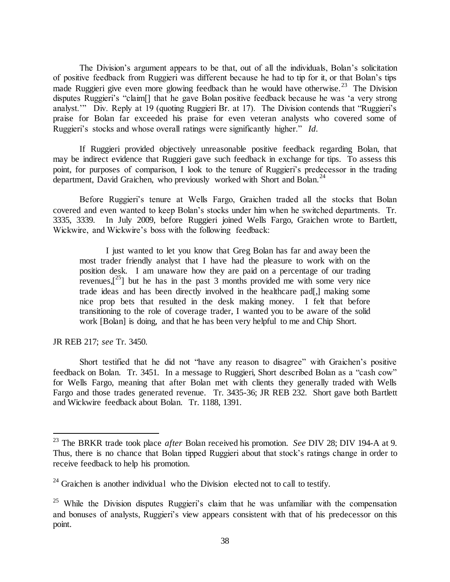The Division's argument appears to be that, out of all the individuals, Bolan's solicitation of positive feedback from Ruggieri was different because he had to tip for it, or that Bolan's tips made Ruggieri give even more glowing feedback than he would have otherwise.<sup>23</sup> The Division disputes Ruggieri's "claim[] that he gave Bolan positive feedback because he was 'a very strong analyst.'" Div. Reply at 19 (quoting Ruggieri Br. at 17). The Division contends that "Ruggieri's praise for Bolan far exceeded his praise for even veteran analysts who covered some of Ruggieri's stocks and whose overall ratings were significantly higher." *Id.*

If Ruggieri provided objectively unreasonable positive feedback regarding Bolan, that may be indirect evidence that Ruggieri gave such feedback in exchange for tips. To assess this point, for purposes of comparison, I look to the tenure of Ruggieri's predecessor in the trading department, David Graichen, who previously worked with Short and Bolan.<sup>24</sup>

Before Ruggieri's tenure at Wells Fargo, Graichen traded all the stocks that Bolan covered and even wanted to keep Bolan's stocks under him when he switched departments. Tr. 3335, 3339. In July 2009, before Ruggieri joined Wells Fargo, Graichen wrote to Bartlett, Wickwire, and Wickwire's boss with the following feedback:

I just wanted to let you know that Greg Bolan has far and away been the most trader friendly analyst that I have had the pleasure to work with on the position desk. I am unaware how they are paid on a percentage of our trading revenues, $\left[\begin{array}{c} 25 \\ 5 \end{array}\right]$  but he has in the past 3 months provided me with some very nice trade ideas and has been directly involved in the healthcare pad[,] making some nice prop bets that resulted in the desk making money. I felt that before transitioning to the role of coverage trader, I wanted you to be aware of the solid work [Bolan] is doing, and that he has been very helpful to me and Chip Short.

JR REB 217; *see* Tr. 3450.

l

Short testified that he did not "have any reason to disagree" with Graichen's positive feedback on Bolan. Tr. 3451. In a message to Ruggieri, Short described Bolan as a "cash cow" for Wells Fargo, meaning that after Bolan met with clients they generally traded with Wells Fargo and those trades generated revenue. Tr. 3435-36; JR REB 232. Short gave both Bartlett and Wickwire feedback about Bolan. Tr. 1188, 1391.

<sup>23</sup> The BRKR trade took place *after* Bolan received his promotion. *See* DIV 28; DIV 194-A at 9. Thus, there is no chance that Bolan tipped Ruggieri about that stock's ratings change in order to receive feedback to help his promotion.

 $^{24}$  Graichen is another individual who the Division elected not to call to testify.

<sup>&</sup>lt;sup>25</sup> While the Division disputes Ruggieri's claim that he was unfamiliar with the compensation and bonuses of analysts, Ruggieri's view appears consistent with that of his predecessor on this point.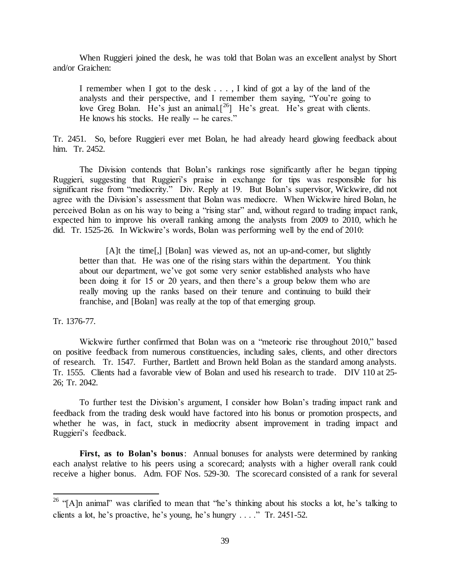When Ruggieri joined the desk, he was told that Bolan was an excellent analyst by Short and/or Graichen:

I remember when I got to the desk . . . , I kind of got a lay of the land of the analysts and their perspective, and I remember them saying, "You're going to love Greg Bolan. He's just an animal.<sup>[26</sup>] He's great. He's great with clients. He knows his stocks. He really -- he cares."

Tr. 2451. So, before Ruggieri ever met Bolan, he had already heard glowing feedback about him. Tr. 2452.

The Division contends that Bolan's rankings rose significantly after he began tipping Ruggieri, suggesting that Ruggieri's praise in exchange for tips was responsible for his significant rise from "mediocrity." Div. Reply at 19. But Bolan's supervisor, Wickwire, did not agree with the Division's assessment that Bolan was mediocre. When Wickwire hired Bolan, he perceived Bolan as on his way to being a "rising star" and, without regard to trading impact rank, expected him to improve his overall ranking among the analysts from 2009 to 2010, which he did. Tr. 1525-26. In Wickwire's words, Bolan was performing well by the end of 2010:

[A]t the time[,] [Bolan] was viewed as, not an up-and-comer, but slightly better than that. He was one of the rising stars within the department. You think about our department, we've got some very senior established analysts who have been doing it for 15 or 20 years, and then there's a group below them who are really moving up the ranks based on their tenure and continuing to build their franchise, and [Bolan] was really at the top of that emerging group.

Tr. 1376-77.

I

Wickwire further confirmed that Bolan was on a "meteoric rise throughout 2010," based on positive feedback from numerous constituencies, including sales, clients, and other directors of research. Tr. 1547. Further, Bartlett and Brown held Bolan as the standard among analysts. Tr. 1555. Clients had a favorable view of Bolan and used his research to trade. DIV 110 at 25- 26; Tr. 2042.

To further test the Division's argument, I consider how Bolan's trading impact rank and feedback from the trading desk would have factored into his bonus or promotion prospects, and whether he was, in fact, stuck in mediocrity absent improvement in trading impact and Ruggieri's feedback.

**First, as to Bolan's bonus**: Annual bonuses for analysts were determined by ranking each analyst relative to his peers using a scorecard; analysts with a higher overall rank could receive a higher bonus. Adm. FOF Nos. 529-30. The scorecard consisted of a rank for several

<sup>&</sup>lt;sup>26</sup> "[A]n animal" was clarified to mean that "he's thinking about his stocks a lot, he's talking to clients a lot, he's proactive, he's young, he's hungry . . . ." Tr. 2451-52.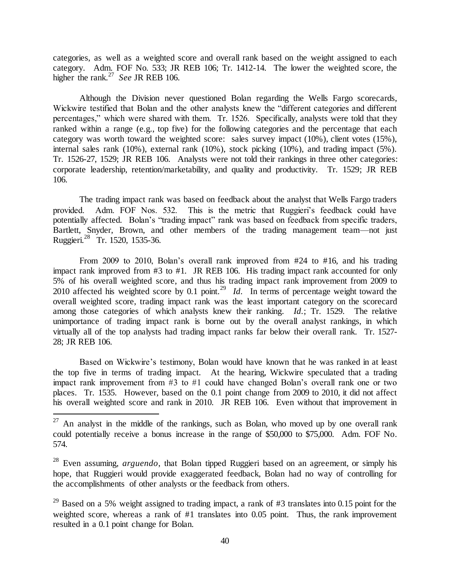categories, as well as a weighted score and overall rank based on the weight assigned to each category. Adm. FOF No. 533; JR REB 106; Tr. 1412-14. The lower the weighted score, the higher the rank.<sup>27</sup> See JR REB 106.

Although the Division never questioned Bolan regarding the Wells Fargo scorecards, Wickwire testified that Bolan and the other analysts knew the "different categories and different percentages," which were shared with them. Tr. 1526. Specifically, analysts were told that they ranked within a range (e.g., top five) for the following categories and the percentage that each category was worth toward the weighted score: sales survey impact (10%), client votes (15%), internal sales rank (10%), external rank (10%), stock picking (10%), and trading impact (5%). Tr. 1526-27, 1529; JR REB 106. Analysts were not told their rankings in three other categories: corporate leadership, retention/marketability, and quality and productivity. Tr. 1529; JR REB 106.

The trading impact rank was based on feedback about the analyst that Wells Fargo traders provided. Adm. FOF Nos. 532. This is the metric that Ruggieri's feedback could have potentially affected. Bolan's "trading impact" rank was based on feedback from specific traders, Bartlett, Snyder, Brown, and other members of the trading management team—not just Ruggieri.<sup>28</sup> Tr. 1520, 1535-36.

From 2009 to 2010, Bolan's overall rank improved from #24 to #16, and his trading impact rank improved from #3 to #1. JR REB 106. His trading impact rank accounted for only 5% of his overall weighted score, and thus his trading impact rank improvement from 2009 to 2010 affected his weighted score by 0.1 point.<sup>29</sup> *Id.* In terms of percentage weight toward the overall weighted score, trading impact rank was the least important category on the scorecard among those categories of which analysts knew their ranking. *Id.*; Tr. 1529. The relative unimportance of trading impact rank is borne out by the overall analyst rankings, in which virtually all of the top analysts had trading impact ranks far below their overall rank. Tr. 1527- 28; JR REB 106.

Based on Wickwire's testimony, Bolan would have known that he was ranked in at least the top five in terms of trading impact. At the hearing, Wickwire speculated that a trading impact rank improvement from #3 to #1 could have changed Bolan's overall rank one or two places. Tr. 1535. However, based on the 0.1 point change from 2009 to 2010, it did not affect his overall weighted score and rank in 2010. JR REB 106. Even without that improvement in

I

 $27$  An analyst in the middle of the rankings, such as Bolan, who moved up by one overall rank could potentially receive a bonus increase in the range of \$50,000 to \$75,000. Adm. FOF No. 574.

<sup>28</sup> Even assuming, *arguendo*, that Bolan tipped Ruggieri based on an agreement, or simply his hope, that Ruggieri would provide exaggerated feedback, Bolan had no way of controlling for the accomplishments of other analysts or the feedback from others.

<sup>&</sup>lt;sup>29</sup> Based on a 5% weight assigned to trading impact, a rank of  $#3$  translates into 0.15 point for the weighted score, whereas a rank of #1 translates into 0.05 point. Thus, the rank improvement resulted in a 0.1 point change for Bolan.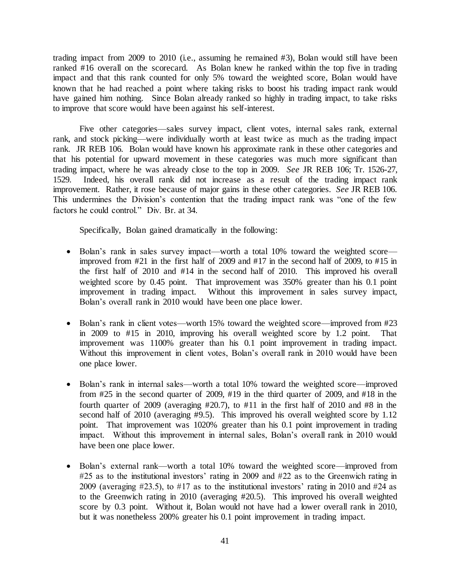trading impact from 2009 to 2010 (i.e., assuming he remained #3), Bolan would still have been ranked #16 overall on the scorecard. As Bolan knew he ranked within the top five in trading impact and that this rank counted for only 5% toward the weighted score, Bolan would have known that he had reached a point where taking risks to boost his trading impact rank would have gained him nothing. Since Bolan already ranked so highly in trading impact, to take risks to improve that score would have been against his self-interest.

Five other categories—sales survey impact, client votes, internal sales rank, external rank, and stock picking—were individually worth at least twice as much as the trading impact rank. JR REB 106. Bolan would have known his approximate rank in these other categories and that his potential for upward movement in these categories was much more significant than trading impact, where he was already close to the top in 2009. *See* JR REB 106; Tr. 1526-27, 1529. Indeed, his overall rank did not increase as a result of the trading impact rank improvement. Rather, it rose because of major gains in these other categories. *See* JR REB 106. This undermines the Division's contention that the trading impact rank was "one of the few factors he could control." Div. Br. at 34.

Specifically, Bolan gained dramatically in the following:

- Bolan's rank in sales survey impact—worth a total 10% toward the weighted score improved from #21 in the first half of 2009 and #17 in the second half of 2009, to #15 in the first half of 2010 and #14 in the second half of 2010. This improved his overall weighted score by 0.45 point. That improvement was 350% greater than his 0.1 point improvement in trading impact. Without this improvement in sales survey impact, Bolan's overall rank in 2010 would have been one place lower.
- Bolan's rank in client votes—worth 15% toward the weighted score—improved from #23 in 2009 to #15 in 2010, improving his overall weighted score by 1.2 point. That improvement was 1100% greater than his 0.1 point improvement in trading impact. Without this improvement in client votes, Bolan's overall rank in 2010 would have been one place lower.
- Bolan's rank in internal sales—worth a total 10% toward the weighted score—improved from #25 in the second quarter of 2009, #19 in the third quarter of 2009, and #18 in the fourth quarter of 2009 (averaging  $\#20.7$ ), to  $\#11$  in the first half of 2010 and  $\#8$  in the second half of 2010 (averaging #9.5). This improved his overall weighted score by 1.12 point. That improvement was 1020% greater than his 0.1 point improvement in trading impact. Without this improvement in internal sales, Bolan's overall rank in 2010 would have been one place lower.
- Bolan's external rank—worth a total 10% toward the weighted score—improved from #25 as to the institutional investors' rating in 2009 and #22 as to the Greenwich rating in 2009 (averaging #23.5), to #17 as to the institutional investors' rating in 2010 and #24 as to the Greenwich rating in 2010 (averaging #20.5). This improved his overall weighted score by 0.3 point. Without it, Bolan would not have had a lower overall rank in 2010, but it was nonetheless 200% greater his 0.1 point improvement in trading impact.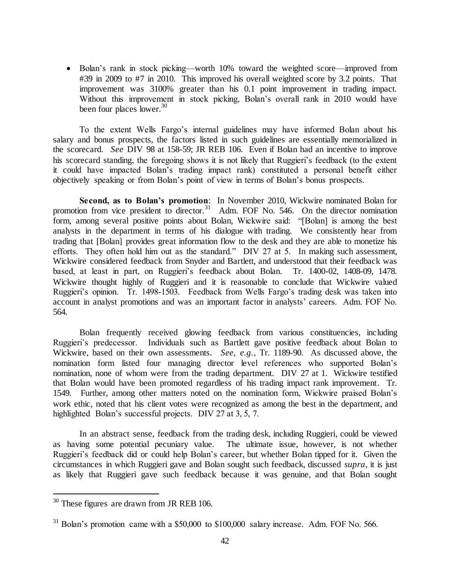Bolan's rank in stock picking—worth 10% toward the weighted score—improved from #39 in 2009 to #7 in 2010. This improved his overall weighted score by 3.2 points. That improvement was 3100% greater than his 0.1 point improvement in trading impact. Without this improvement in stock picking, Bolan's overall rank in 2010 would have been four places lower.<sup>30</sup>

To the extent Wells Fargo's internal guidelines may have informed Bolan about his salary and bonus prospects, the factors listed in such guidelines are essentially memorialized in the scorecard. *See* DIV 98 at 158-59; JR REB 106. Even if Bolan had an incentive to improve his scorecard standing, the foregoing shows it is not likely that Ruggieri's feedback (to the extent it could have impacted Bolan's trading impact rank) constituted a personal benefit either objectively speaking or from Bolan's point of view in terms of Bolan's bonus prospects.

**Second, as to Bolan's promotion**: In November 2010, Wickwire nominated Bolan for promotion from vice president to director.<sup>31</sup> Adm. FOF No. 546. On the director nomination form, among several positive points about Bolan, Wickwire said: "[Bolan] is among the best analysts in the department in terms of his dialogue with trading. We consistently hear from trading that [Bolan] provides great information flow to the desk and they are able to monetize his efforts. They often hold him out as the standard." DIV 27 at 5. In making such assessment, Wickwire considered feedback from Snyder and Bartlett, and understood that their feedback was based, at least in part, on Ruggieri's feedback about Bolan. Tr. 1400-02, 1408-09, 1478. Wickwire thought highly of Ruggieri and it is reasonable to conclude that Wickwire valued Ruggieri's opinion. Tr. 1498-1503. Feedback from Wells Fargo's trading desk was taken into account in analyst promotions and was an important factor in analysts' careers. Adm. FOF No. 564.

Bolan frequently received glowing feedback from various constituencies, including Ruggieri's predecessor. Individuals such as Bartlett gave positive feedback about Bolan to Wickwire, based on their own assessments. *See, e.g.*, Tr. 1189-90. As discussed above, the nomination form listed four managing director level references who supported Bolan's nomination, none of whom were from the trading department. DIV 27 at 1. Wickwire testified that Bolan would have been promoted regardless of his trading impact rank improvement. Tr. 1549. Further, among other matters noted on the nomination form, Wickwire praised Bolan's work ethic, noted that his client votes were recognized as among the best in the department, and highlighted Bolan's successful projects. DIV 27 at 3, 5, 7.

In an abstract sense, feedback from the trading desk, including Ruggieri, could be viewed as having some potential pecuniary value. The ultimate issue, however, is not whether Ruggieri's feedback did or could help Bolan's career, but whether Bolan tipped for it. Given the circumstances in which Ruggieri gave and Bolan sought such feedback, discussed *supra*, it is just as likely that Ruggieri gave such feedback because it was genuine, and that Bolan sought

I

 $30$  These figures are drawn from JR REB 106.

<sup>&</sup>lt;sup>31</sup> Bolan's promotion came with a \$50,000 to \$100,000 salary increase. Adm. FOF No. 566.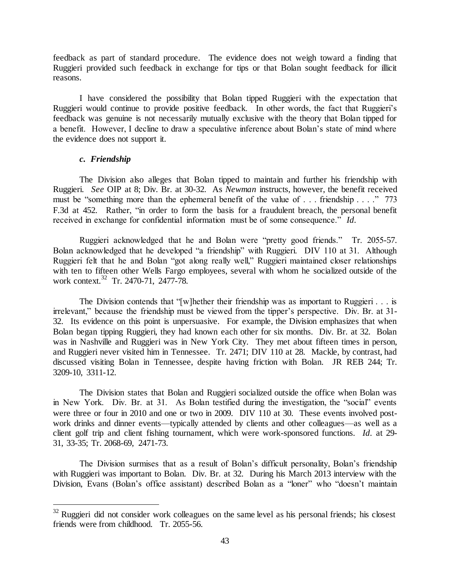feedback as part of standard procedure. The evidence does not weigh toward a finding that Ruggieri provided such feedback in exchange for tips or that Bolan sought feedback for illicit reasons.

I have considered the possibility that Bolan tipped Ruggieri with the expectation that Ruggieri would continue to provide positive feedback. In other words, the fact that Ruggieri's feedback was genuine is not necessarily mutually exclusive with the theory that Bolan tipped for a benefit. However, I decline to draw a speculative inference about Bolan's state of mind where the evidence does not support it.

## *c. Friendship*

I

The Division also alleges that Bolan tipped to maintain and further his friendship with Ruggieri. *See* OIP at 8; Div. Br. at 30-32. As *Newman* instructs, however, the benefit received must be "something more than the ephemeral benefit of the value of . . . friendship . . . ." 773 F.3d at 452. Rather, "in order to form the basis for a fraudulent breach, the personal benefit received in exchange for confidential information must be of some consequence." *Id.*

Ruggieri acknowledged that he and Bolan were "pretty good friends." Tr. 2055-57. Bolan acknowledged that he developed "a friendship" with Ruggieri. DIV 110 at 31. Although Ruggieri felt that he and Bolan "got along really well," Ruggieri maintained closer relationships with ten to fifteen other Wells Fargo employees, several with whom he socialized outside of the work context.<sup>32</sup> Tr. 2470-71, 2477-78.

The Division contends that "[w]hether their friendship was as important to Ruggieri . . . is irrelevant," because the friendship must be viewed from the tipper's perspective. Div. Br. at 31- 32. Its evidence on this point is unpersuasive. For example, the Division emphasizes that when Bolan began tipping Ruggieri, they had known each other for six months. Div. Br. at 32. Bolan was in Nashville and Ruggieri was in New York City. They met about fifteen times in person, and Ruggieri never visited him in Tennessee. Tr. 2471; DIV 110 at 28. Mackle, by contrast, had discussed visiting Bolan in Tennessee, despite having friction with Bolan. JR REB 244; Tr. 3209-10, 3311-12.

The Division states that Bolan and Ruggieri socialized outside the office when Bolan was in New York. Div. Br. at 31. As Bolan testified during the investigation, the "social" events were three or four in 2010 and one or two in 2009. DIV 110 at 30. These events involved postwork drinks and dinner events—typically attended by clients and other colleagues—as well as a client golf trip and client fishing tournament, which were work-sponsored functions. *Id.* at 29- 31, 33-35; Tr. 2068-69, 2471-73.

The Division surmises that as a result of Bolan's difficult personality, Bolan's friendship with Ruggieri was important to Bolan. Div. Br. at 32. During his March 2013 interview with the Division, Evans (Bolan's office assistant) described Bolan as a "loner" who "doesn't maintain

 $32$  Ruggieri did not consider work colleagues on the same level as his personal friends; his closest friends were from childhood. Tr. 2055-56.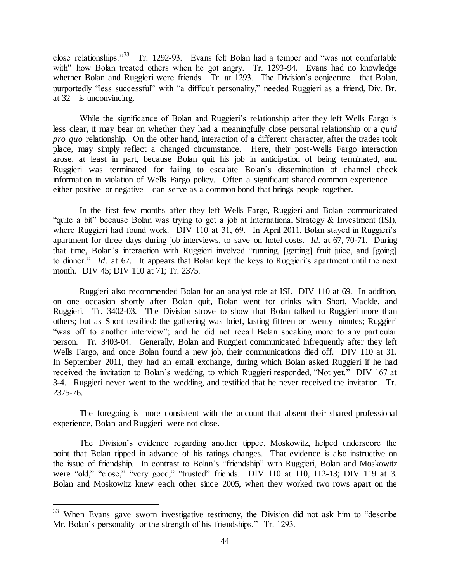close relationships."<sup>33</sup> Tr. 1292-93. Evans felt Bolan had a temper and "was not comfortable" with" how Bolan treated others when he got angry. Tr. 1293-94. Evans had no knowledge whether Bolan and Ruggieri were friends. Tr. at 1293. The Division's conjecture—that Bolan, purportedly "less successful" with "a difficult personality," needed Ruggieri as a friend, Div. Br. at 32—is unconvincing.

While the significance of Bolan and Ruggieri's relationship after they left Wells Fargo is less clear, it may bear on whether they had a meaningfully close personal relationship or a *quid pro quo* relationship. On the other hand, interaction of a different character, after the trades took place, may simply reflect a changed circumstance. Here, their post-Wells Fargo interaction arose, at least in part, because Bolan quit his job in anticipation of being terminated, and Ruggieri was terminated for failing to escalate Bolan's dissemination of channel check information in violation of Wells Fargo policy. Often a significant shared common experience either positive or negative—can serve as a common bond that brings people together.

In the first few months after they left Wells Fargo, Ruggieri and Bolan communicated "quite a bit" because Bolan was trying to get a job at International Strategy & Investment (ISI), where Ruggieri had found work. DIV 110 at 31, 69. In April 2011, Bolan stayed in Ruggieri's apartment for three days during job interviews, to save on hotel costs. *Id.* at 67, 70-71. During that time, Bolan's interaction with Ruggieri involved "running, [getting] fruit juice, and [going] to dinner." *Id.* at 67. It appears that Bolan kept the keys to Ruggieri's apartment until the next month. DIV 45; DIV 110 at 71; Tr. 2375.

Ruggieri also recommended Bolan for an analyst role at ISI. DIV 110 at 69. In addition, on one occasion shortly after Bolan quit, Bolan went for drinks with Short, Mackle, and Ruggieri. Tr. 3402-03. The Division strove to show that Bolan talked to Ruggieri more than others; but as Short testified: the gathering was brief, lasting fifteen or twenty minutes; Ruggieri "was off to another interview"; and he did not recall Bolan speaking more to any particular person. Tr. 3403-04. Generally, Bolan and Ruggieri communicated infrequently after they left Wells Fargo, and once Bolan found a new job, their communications died off. DIV 110 at 31. In September 2011, they had an email exchange, during which Bolan asked Ruggieri if he had received the invitation to Bolan's wedding, to which Ruggieri responded, "Not yet." DIV 167 at 3-4. Ruggieri never went to the wedding, and testified that he never received the invitation. Tr. 2375-76.

The foregoing is more consistent with the account that absent their shared professional experience, Bolan and Ruggieri were not close.

The Division's evidence regarding another tippee, Moskowitz, helped underscore the point that Bolan tipped in advance of his ratings changes. That evidence is also instructive on the issue of friendship. In contrast to Bolan's "friendship" with Ruggieri, Bolan and Moskowitz were "old," "close," "very good," "trusted" friends. DIV 110 at 110, 112-13; DIV 119 at 3. Bolan and Moskowitz knew each other since 2005, when they worked two rows apart on the

I

<sup>&</sup>lt;sup>33</sup> When Evans gave sworn investigative testimony, the Division did not ask him to "describe" Mr. Bolan's personality or the strength of his friendships." Tr. 1293.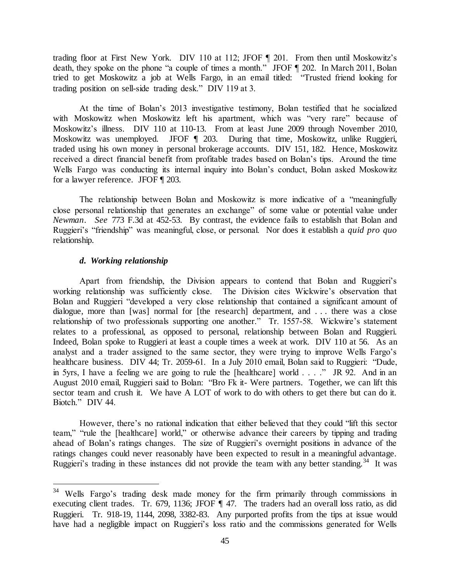trading floor at First New York. DIV 110 at 112; JFOF ¶ 201. From then until Moskowitz's death, they spoke on the phone "a couple of times a month." JFOF ¶ 202. In March 2011, Bolan tried to get Moskowitz a job at Wells Fargo, in an email titled: "Trusted friend looking for trading position on sell-side trading desk." DIV 119 at 3.

At the time of Bolan's 2013 investigative testimony, Bolan testified that he socialized with Moskowitz when Moskowitz left his apartment, which was "very rare" because of Moskowitz's illness. DIV 110 at 110-13. From at least June 2009 through November 2010, Moskowitz was unemployed. JFOF ¶ 203. During that time, Moskowitz, unlike Ruggieri, traded using his own money in personal brokerage accounts. DIV 151, 182. Hence, Moskowitz received a direct financial benefit from profitable trades based on Bolan's tips. Around the time Wells Fargo was conducting its internal inquiry into Bolan's conduct, Bolan asked Moskowitz for a lawyer reference. JFOF ¶ 203.

The relationship between Bolan and Moskowitz is more indicative of a "meaningfully close personal relationship that generates an exchange" of some value or potential value under *Newman*. *See* 773 F.3d at 452-53. By contrast, the evidence fails to establish that Bolan and Ruggieri's "friendship" was meaningful, close, or personal. Nor does it establish a *quid pro quo* relationship.

# *d. Working relationship*

I

Apart from friendship, the Division appears to contend that Bolan and Ruggieri's working relationship was sufficiently close. The Division cites Wickwire's observation that Bolan and Ruggieri "developed a very close relationship that contained a significant amount of dialogue, more than [was] normal for [the research] department, and . . . there was a close relationship of two professionals supporting one another." Tr. 1557-58. Wickwire's statement relates to a professional, as opposed to personal, relationship between Bolan and Ruggieri. Indeed, Bolan spoke to Ruggieri at least a couple times a week at work. DIV 110 at 56. As an analyst and a trader assigned to the same sector, they were trying to improve Wells Fargo's healthcare business. DIV 44; Tr. 2059-61. In a July 2010 email, Bolan said to Ruggieri: "Dude, in 5yrs, I have a feeling we are going to rule the [healthcare] world . . . ." JR 92. And in an August 2010 email, Ruggieri said to Bolan: "Bro Fk it- Were partners. Together, we can lift this sector team and crush it. We have A LOT of work to do with others to get there but can do it. Biotch." DIV 44.

However, there's no rational indication that either believed that they could "lift this sector team," "rule the [healthcare] world," or otherwise advance their careers by tipping and trading ahead of Bolan's ratings changes. The size of Ruggieri's overnight positions in advance of the ratings changes could never reasonably have been expected to result in a meaningful advantage. Ruggieri's trading in these instances did not provide the team with any better standing.<sup>34</sup> It was

<sup>&</sup>lt;sup>34</sup> Wells Fargo's trading desk made money for the firm primarily through commissions in executing client trades. Tr. 679, 1136; JFOF ¶ 47. The traders had an overall loss ratio, as did Ruggieri. Tr. 918-19, 1144, 2098, 3382-83. Any purported profits from the tips at issue would have had a negligible impact on Ruggieri's loss ratio and the commissions generated for Wells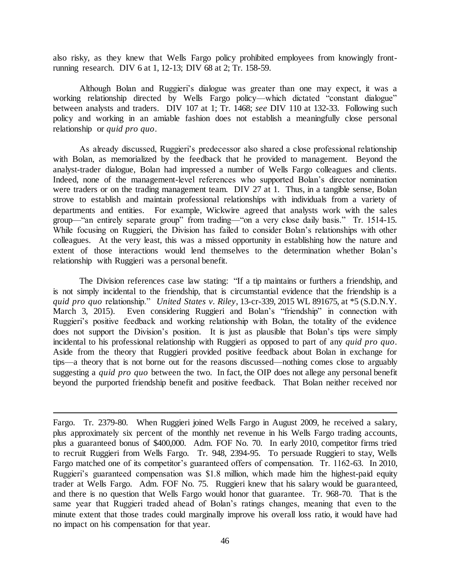also risky, as they knew that Wells Fargo policy prohibited employees from knowingly frontrunning research. DIV 6 at 1, 12-13; DIV 68 at 2; Tr. 158-59.

Although Bolan and Ruggieri's dialogue was greater than one may expect, it was a working relationship directed by Wells Fargo policy—which dictated "constant dialogue" between analysts and traders. DIV 107 at 1; Tr. 1468; *see* DIV 110 at 132-33. Following such policy and working in an amiable fashion does not establish a meaningfully close personal relationship or *quid pro quo*.

As already discussed, Ruggieri's predecessor also shared a close professional relationship with Bolan, as memorialized by the feedback that he provided to management. Beyond the analyst-trader dialogue, Bolan had impressed a number of Wells Fargo colleagues and clients. Indeed, none of the management-level references who supported Bolan's director nomination were traders or on the trading management team. DIV 27 at 1. Thus, in a tangible sense, Bolan strove to establish and maintain professional relationships with individuals from a variety of departments and entities. For example, Wickwire agreed that analysts work with the sales group—"an entirely separate group" from trading—"on a very close daily basis." Tr. 1514-15. While focusing on Ruggieri, the Division has failed to consider Bolan's relationships with other colleagues. At the very least, this was a missed opportunity in establishing how the nature and extent of those interactions would lend themselves to the determination whether Bolan's relationship with Ruggieri was a personal benefit.

The Division references case law stating: "If a tip maintains or furthers a friendship, and is not simply incidental to the friendship, that is circumstantial evidence that the friendship is a *quid pro quo* relationship." *United States v. Riley*, 13-cr-339, 2015 WL 891675, at \*5 (S.D.N.Y. March 3, 2015). Even considering Ruggieri and Bolan's "friendship" in connection with Ruggieri's positive feedback and working relationship with Bolan, the totality of the evidence does not support the Division's position. It is just as plausible that Bolan's tips were simply incidental to his professional relationship with Ruggieri as opposed to part of any *quid pro quo*. Aside from the theory that Ruggieri provided positive feedback about Bolan in exchange for tips—a theory that is not borne out for the reasons discussed—nothing comes close to arguably suggesting a *quid pro quo* between the two. In fact, the OIP does not allege any personal benefit beyond the purported friendship benefit and positive feedback. That Bolan neither received nor

I

Fargo. Tr. 2379-80. When Ruggieri joined Wells Fargo in August 2009, he received a salary, plus approximately six percent of the monthly net revenue in his Wells Fargo trading accounts, plus a guaranteed bonus of \$400,000. Adm. FOF No. 70. In early 2010, competitor firms tried to recruit Ruggieri from Wells Fargo. Tr. 948, 2394-95. To persuade Ruggieri to stay, Wells Fargo matched one of its competitor's guaranteed offers of compensation. Tr. 1162-63. In 2010, Ruggieri's guaranteed compensation was \$1.8 million, which made him the highest-paid equity trader at Wells Fargo. Adm. FOF No. 75. Ruggieri knew that his salary would be guaranteed, and there is no question that Wells Fargo would honor that guarantee. Tr. 968-70. That is the same year that Ruggieri traded ahead of Bolan's ratings changes, meaning that even to the minute extent that those trades could marginally improve his overall loss ratio, it would have had no impact on his compensation for that year.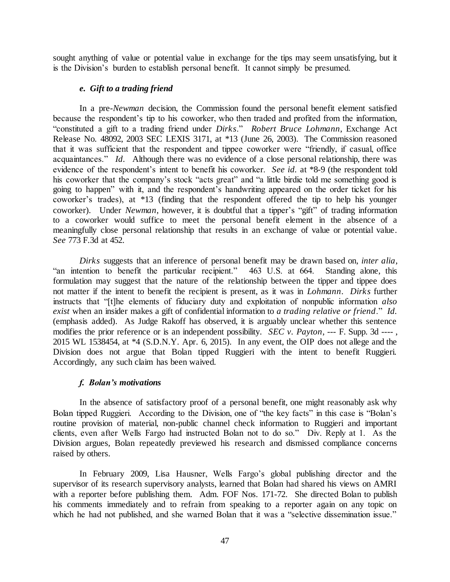sought anything of value or potential value in exchange for the tips may seem unsatisfying, but it is the Division's burden to establish personal benefit. It cannot simply be presumed.

# *e. Gift to a trading friend*

In a pre-*Newman* decision, the Commission found the personal benefit element satisfied because the respondent's tip to his coworker, who then traded and profited from the information, "constituted a gift to a trading friend under *Dirks*." *Robert Bruce Lohmann*, Exchange Act Release No. 48092, 2003 SEC LEXIS 3171, at \*13 (June 26, 2003). The Commission reasoned that it was sufficient that the respondent and tippee coworker were "friendly, if casual, office acquaintances." *Id.* Although there was no evidence of a close personal relationship, there was evidence of the respondent's intent to benefit his coworker. *See id.* at \*8-9 (the respondent told his coworker that the company's stock "acts great" and "a little birdie told me something good is going to happen" with it, and the respondent's handwriting appeared on the order ticket for his coworker's trades), at \*13 (finding that the respondent offered the tip to help his younger coworker). Under *Newman*, however, it is doubtful that a tipper's "gift" of trading information to a coworker would suffice to meet the personal benefit element in the absence of a meaningfully close personal relationship that results in an exchange of value or potential value. *See* 773 F.3d at 452.

*Dirks* suggests that an inference of personal benefit may be drawn based on, *inter alia*, "an intention to benefit the particular recipient." 463 U.S. at 664. Standing alone, this formulation may suggest that the nature of the relationship between the tipper and tippee does not matter if the intent to benefit the recipient is present, as it was in *Lohmann*. *Dirks* further instructs that "[t]he elements of fiduciary duty and exploitation of nonpublic information *also exist* when an insider makes a gift of confidential information to *a trading relative or friend*." *Id.* (emphasis added). As Judge Rakoff has observed, it is arguably unclear whether this sentence modifies the prior reference or is an independent possibility. *SEC v. Payton*, --- F. Supp. 3d ---- , 2015 WL 1538454, at \*4 (S.D.N.Y. Apr. 6, 2015). In any event, the OIP does not allege and the Division does not argue that Bolan tipped Ruggieri with the intent to benefit Ruggieri. Accordingly, any such claim has been waived.

# *f. Bolan's motivations*

In the absence of satisfactory proof of a personal benefit, one might reasonably ask why Bolan tipped Ruggieri. According to the Division, one of "the key facts" in this case is "Bolan's routine provision of material, non-public channel check information to Ruggieri and important clients, even after Wells Fargo had instructed Bolan not to do so." Div. Reply at 1. As the Division argues, Bolan repeatedly previewed his research and dismissed compliance concerns raised by others.

In February 2009, Lisa Hausner, Wells Fargo's global publishing director and the supervisor of its research supervisory analysts, learned that Bolan had shared his views on AMRI with a reporter before publishing them. Adm. FOF Nos. 171-72. She directed Bolan to publish his comments immediately and to refrain from speaking to a reporter again on any topic on which he had not published, and she warned Bolan that it was a "selective dissemination issue."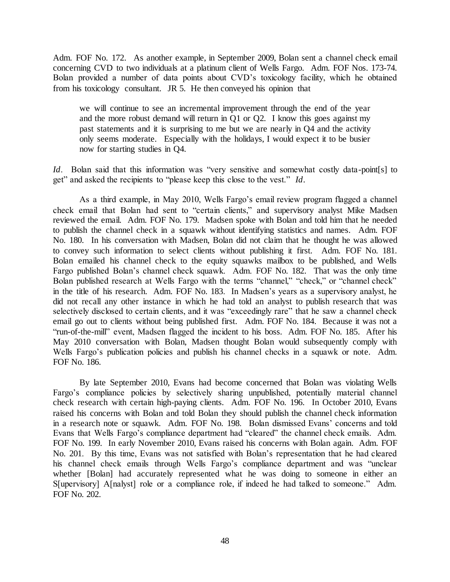Adm. FOF No. 172. As another example, in September 2009, Bolan sent a channel check email concerning CVD to two individuals at a platinum client of Wells Fargo. Adm. FOF Nos. 173-74. Bolan provided a number of data points about CVD's toxicology facility, which he obtained from his toxicology consultant. JR 5. He then conveyed his opinion that

we will continue to see an incremental improvement through the end of the year and the more robust demand will return in Q1 or Q2. I know this goes against my past statements and it is surprising to me but we are nearly in Q4 and the activity only seems moderate. Especially with the holidays, I would expect it to be busier now for starting studies in Q4.

*Id*. Bolan said that this information was "very sensitive and somewhat costly data-point[s] to get" and asked the recipients to "please keep this close to the vest." *Id*.

As a third example, in May 2010, Wells Fargo's email review program flagged a channel check email that Bolan had sent to "certain clients," and supervisory analyst Mike Madsen reviewed the email. Adm. FOF No. 179. Madsen spoke with Bolan and told him that he needed to publish the channel check in a squawk without identifying statistics and names. Adm. FOF No. 180. In his conversation with Madsen, Bolan did not claim that he thought he was allowed to convey such information to select clients without publishing it first. Adm. FOF No. 181. Bolan emailed his channel check to the equity squawks mailbox to be published, and Wells Fargo published Bolan's channel check squawk. Adm. FOF No. 182. That was the only time Bolan published research at Wells Fargo with the terms "channel," "check," or "channel check" in the title of his research. Adm. FOF No. 183. In Madsen's years as a supervisory analyst, he did not recall any other instance in which he had told an analyst to publish research that was selectively disclosed to certain clients, and it was "exceedingly rare" that he saw a channel check email go out to clients without being published first. Adm. FOF No. 184. Because it was not a "run-of-the-mill" event, Madsen flagged the incident to his boss. Adm. FOF No. 185. After his May 2010 conversation with Bolan, Madsen thought Bolan would subsequently comply with Wells Fargo's publication policies and publish his channel checks in a squawk or note. Adm. FOF No. 186.

By late September 2010, Evans had become concerned that Bolan was violating Wells Fargo's compliance policies by selectively sharing unpublished, potentially material channel check research with certain high-paying clients. Adm. FOF No. 196. In October 2010, Evans raised his concerns with Bolan and told Bolan they should publish the channel check information in a research note or squawk. Adm. FOF No. 198. Bolan dismissed Evans' concerns and told Evans that Wells Fargo's compliance department had "cleared" the channel check emails. Adm. FOF No. 199. In early November 2010, Evans raised his concerns with Bolan again. Adm. FOF No. 201. By this time, Evans was not satisfied with Bolan's representation that he had cleared his channel check emails through Wells Fargo's compliance department and was "unclear whether [Bolan] had accurately represented what he was doing to someone in either an S[upervisory] A[nalyst] role or a compliance role, if indeed he had talked to someone." Adm. FOF No. 202.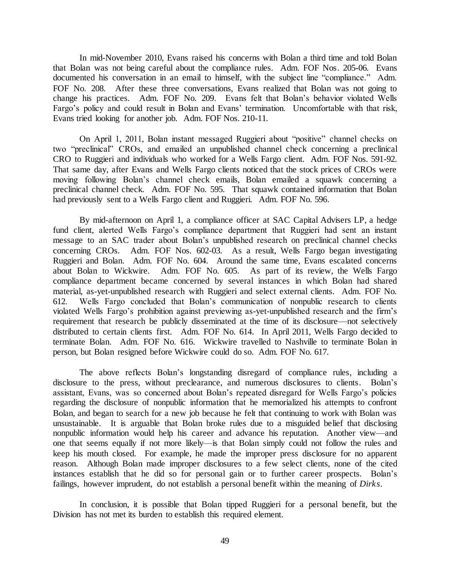In mid-November 2010, Evans raised his concerns with Bolan a third time and told Bolan that Bolan was not being careful about the compliance rules. Adm. FOF Nos. 205-06. Evans documented his conversation in an email to himself, with the subject line "compliance." Adm. FOF No. 208. After these three conversations, Evans realized that Bolan was not going to change his practices. Adm. FOF No. 209. Evans felt that Bolan's behavior violated Wells Fargo's policy and could result in Bolan and Evans' termination. Uncomfortable with that risk, Evans tried looking for another job. Adm. FOF Nos. 210-11.

On April 1, 2011, Bolan instant messaged Ruggieri about "positive" channel checks on two "preclinical" CROs, and emailed an unpublished channel check concerning a preclinical CRO to Ruggieri and individuals who worked for a Wells Fargo client. Adm. FOF Nos. 591-92. That same day, after Evans and Wells Fargo clients noticed that the stock prices of CROs were moving following Bolan's channel check emails, Bolan emailed a squawk concerning a preclinical channel check. Adm. FOF No. 595. That squawk contained information that Bolan had previously sent to a Wells Fargo client and Ruggieri. Adm. FOF No. 596.

By mid-afternoon on April 1, a compliance officer at SAC Capital Advisers LP, a hedge fund client, alerted Wells Fargo's compliance department that Ruggieri had sent an instant message to an SAC trader about Bolan's unpublished research on preclinical channel checks concerning CROs. Adm. FOF Nos. 602-03. As a result, Wells Fargo began investigating Ruggieri and Bolan. Adm. FOF No. 604. Around the same time, Evans escalated concerns about Bolan to Wickwire. Adm. FOF No. 605. As part of its review, the Wells Fargo compliance department became concerned by several instances in which Bolan had shared material, as-yet-unpublished research with Ruggieri and select external clients. Adm. FOF No. 612. Wells Fargo concluded that Bolan's communication of nonpublic research to clients violated Wells Fargo's prohibition against previewing as-yet-unpublished research and the firm's requirement that research be publicly disseminated at the time of its disclosure—not selectively distributed to certain clients first. Adm. FOF No. 614. In April 2011, Wells Fargo decided to terminate Bolan. Adm. FOF No. 616. Wickwire travelled to Nashville to terminate Bolan in person, but Bolan resigned before Wickwire could do so. Adm. FOF No. 617.

The above reflects Bolan's longstanding disregard of compliance rules, including a disclosure to the press, without preclearance, and numerous disclosures to clients. Bolan's assistant, Evans, was so concerned about Bolan's repeated disregard for Wells Fargo's policies regarding the disclosure of nonpublic information that he memorialized his attempts to confront Bolan, and began to search for a new job because he felt that continuing to work with Bolan was unsustainable. It is arguable that Bolan broke rules due to a misguided belief that disclosing nonpublic information would help his career and advance his reputation. Another view—and one that seems equally if not more likely—is that Bolan simply could not follow the rules and keep his mouth closed. For example, he made the improper press disclosure for no apparent reason. Although Bolan made improper disclosures to a few select clients, none of the cited instances establish that he did so for personal gain or to further career prospects. Bolan's failings, however imprudent, do not establish a personal benefit within the meaning of *Dirks*.

In conclusion, it is possible that Bolan tipped Ruggieri for a personal benefit, but the Division has not met its burden to establish this required element.